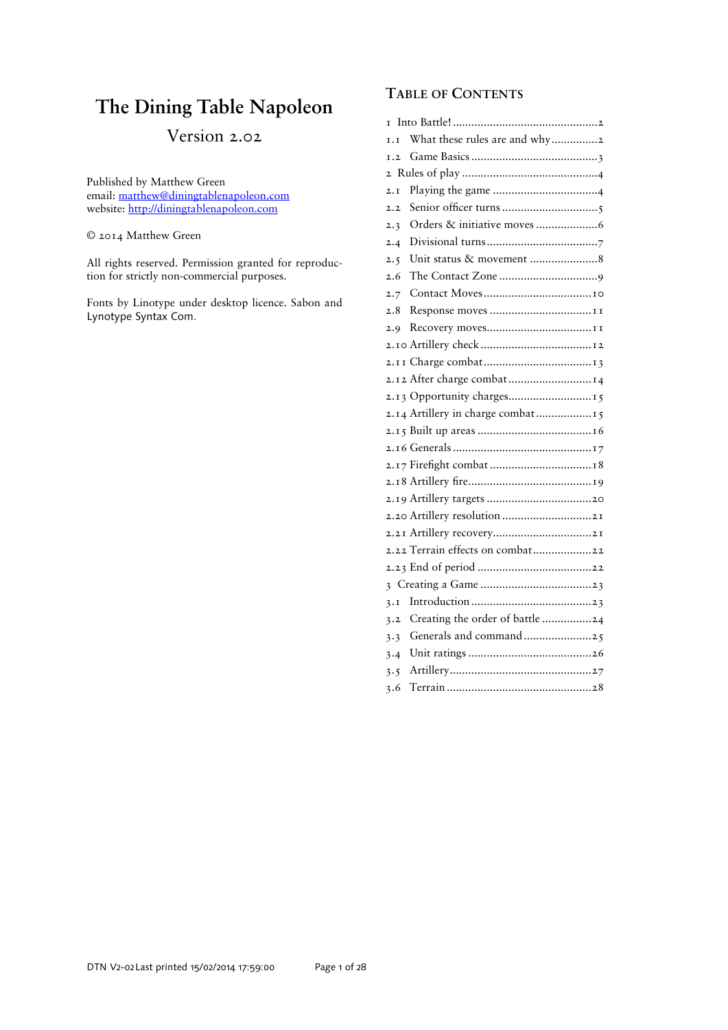# **The Dining Table Napoleon**

# Version 2.02

Published by Matthew Green email: matthew@diningtablenapoleon.com website: http://diningtablenapoleon.com

© 2014 Matthew Green

All rights reserved. Permission granted for reproduction for strictly non-commercial purposes.

Fonts by Linotype under desktop licence. Sabon and Lynotype Syntax Com.

# **TABLE OF CONTENTS**

| T   |                                     |
|-----|-------------------------------------|
| I.I | What these rules are and why2       |
| I.2 |                                     |
|     |                                     |
| 2.1 |                                     |
| 2.2 |                                     |
| 2.3 |                                     |
| 2.4 |                                     |
| 2.5 |                                     |
| 2.6 |                                     |
| 2.7 |                                     |
| 2.8 |                                     |
| 2.9 |                                     |
|     |                                     |
|     |                                     |
|     | 2.12 After charge combat 14         |
|     | 2.13 Opportunity charges15          |
|     | 2.14 Artillery in charge combat  15 |
|     |                                     |
|     |                                     |
|     |                                     |
|     |                                     |
|     |                                     |
|     | 2.20 Artillery resolution 21        |
|     |                                     |
|     | 2.22 Terrain effects on combat22    |
|     |                                     |
|     |                                     |
| 3.1 |                                     |
| 3.2 | Creating the order of battle 24     |
| 3.3 | Generals and command25              |
| 3.4 |                                     |
| 3.5 |                                     |
| 3.6 |                                     |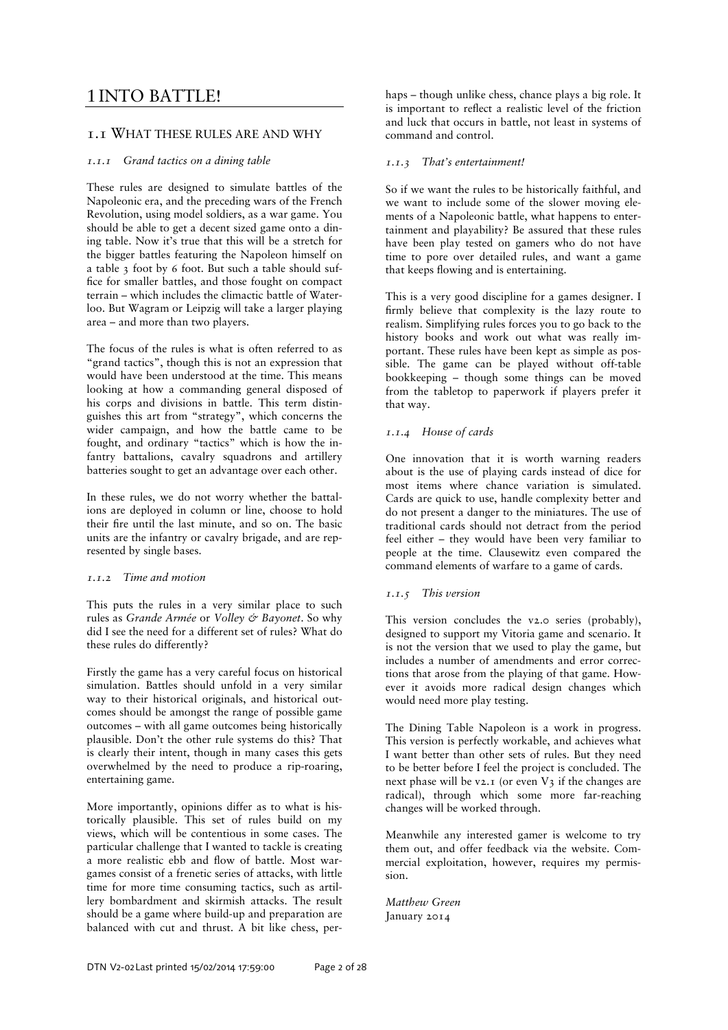# 1 INTO BATTLE!

# 1.1 WHAT THESE RULES ARE AND WHY

# *1.1.1 Grand tactics on a dining table*

These rules are designed to simulate battles of the Napoleonic era, and the preceding wars of the French Revolution, using model soldiers, as a war game. You should be able to get a decent sized game onto a dining table. Now it's true that this will be a stretch for the bigger battles featuring the Napoleon himself on a table 3 foot by 6 foot. But such a table should suffice for smaller battles, and those fought on compact terrain – which includes the climactic battle of Waterloo. But Wagram or Leipzig will take a larger playing area – and more than two players.

The focus of the rules is what is often referred to as "grand tactics", though this is not an expression that would have been understood at the time. This means looking at how a commanding general disposed of his corps and divisions in battle. This term distinguishes this art from "strategy", which concerns the wider campaign, and how the battle came to be fought, and ordinary "tactics" which is how the infantry battalions, cavalry squadrons and artillery batteries sought to get an advantage over each other.

In these rules, we do not worry whether the battalions are deployed in column or line, choose to hold their fire until the last minute, and so on. The basic units are the infantry or cavalry brigade, and are represented by single bases.

# *1.1.2 Time and motion*

This puts the rules in a very similar place to such rules as *Grande Armée* or *Volley & Bayonet*. So why did I see the need for a different set of rules? What do these rules do differently?

Firstly the game has a very careful focus on historical simulation. Battles should unfold in a very similar way to their historical originals, and historical outcomes should be amongst the range of possible game outcomes – with all game outcomes being historically plausible. Don't the other rule systems do this? That is clearly their intent, though in many cases this gets overwhelmed by the need to produce a rip-roaring, entertaining game.

More importantly, opinions differ as to what is historically plausible. This set of rules build on my views, which will be contentious in some cases. The particular challenge that I wanted to tackle is creating a more realistic ebb and flow of battle. Most wargames consist of a frenetic series of attacks, with little time for more time consuming tactics, such as artillery bombardment and skirmish attacks. The result should be a game where build-up and preparation are balanced with cut and thrust. A bit like chess, per-

haps – though unlike chess, chance plays a big role. It is important to reflect a realistic level of the friction and luck that occurs in battle, not least in systems of command and control.

# *1.1.3 That's entertainment!*

So if we want the rules to be historically faithful, and we want to include some of the slower moving elements of a Napoleonic battle, what happens to entertainment and playability? Be assured that these rules have been play tested on gamers who do not have time to pore over detailed rules, and want a game that keeps flowing and is entertaining.

This is a very good discipline for a games designer. I firmly believe that complexity is the lazy route to realism. Simplifying rules forces you to go back to the history books and work out what was really important. These rules have been kept as simple as possible. The game can be played without off-table bookkeeping – though some things can be moved from the tabletop to paperwork if players prefer it that way.

# *1.1.4 House of cards*

One innovation that it is worth warning readers about is the use of playing cards instead of dice for most items where chance variation is simulated. Cards are quick to use, handle complexity better and do not present a danger to the miniatures. The use of traditional cards should not detract from the period feel either – they would have been very familiar to people at the time. Clausewitz even compared the command elements of warfare to a game of cards.

# *1.1.5 This version*

This version concludes the v2.0 series (probably), designed to support my Vitoria game and scenario. It is not the version that we used to play the game, but includes a number of amendments and error corrections that arose from the playing of that game. However it avoids more radical design changes which would need more play testing.

The Dining Table Napoleon is a work in progress. This version is perfectly workable, and achieves what I want better than other sets of rules. But they need to be better before I feel the project is concluded. The next phase will be v2.1 (or even  $V_3$  if the changes are radical), through which some more far-reaching changes will be worked through.

Meanwhile any interested gamer is welcome to try them out, and offer feedback via the website. Commercial exploitation, however, requires my permission.

*Matthew Green*  January 2014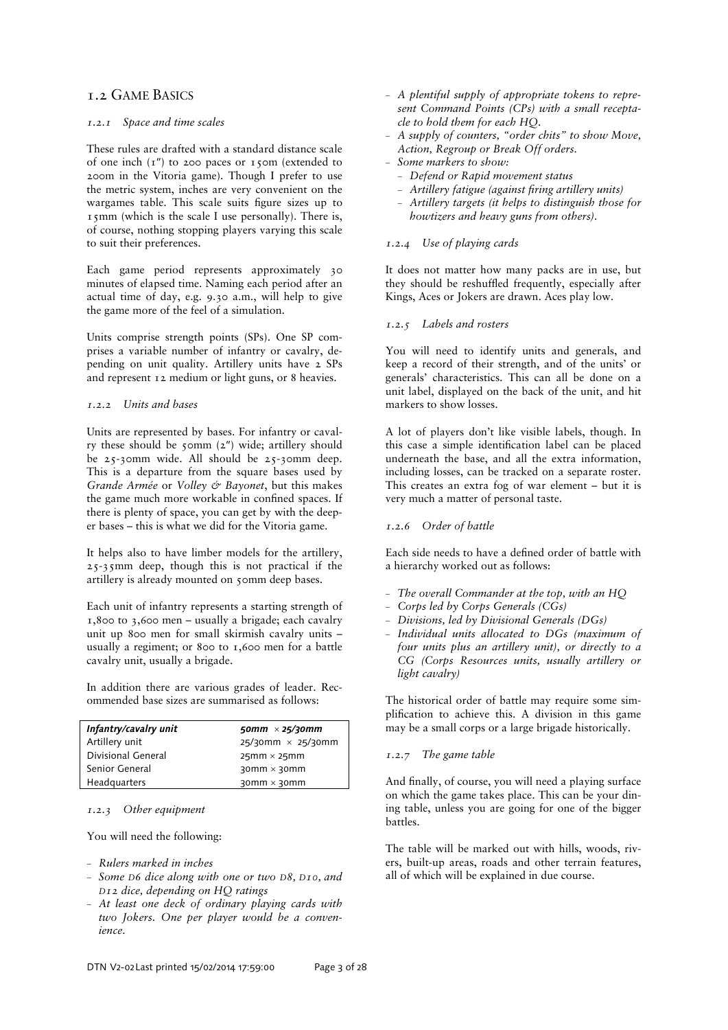# 1.2 GAME BASICS

# *1.2.1 Space and time scales*

These rules are drafted with a standard distance scale of one inch  $(T'')$  to 200 paces or 150m (extended to 200m in the Vitoria game). Though I prefer to use the metric system, inches are very convenient on the wargames table. This scale suits figure sizes up to 15mm (which is the scale I use personally). There is, of course, nothing stopping players varying this scale to suit their preferences.

Each game period represents approximately 30 minutes of elapsed time. Naming each period after an actual time of day, e.g. 9.30 a.m., will help to give the game more of the feel of a simulation.

Units comprise strength points (SPs). One SP comprises a variable number of infantry or cavalry, depending on unit quality. Artillery units have 2 SPs and represent 12 medium or light guns, or 8 heavies.

# *1.2.2 Units and bases*

Units are represented by bases. For infantry or cavalry these should be 50mm (2″) wide; artillery should be 25-30mm wide. All should be 25-30mm deep. This is a departure from the square bases used by *Grande Armée* or *Volley & Bayonet*, but this makes the game much more workable in confined spaces. If there is plenty of space, you can get by with the deeper bases – this is what we did for the Vitoria game.

It helps also to have limber models for the artillery, 25-35mm deep, though this is not practical if the artillery is already mounted on 50mm deep bases.

Each unit of infantry represents a starting strength of 1,800 to 3,600 men – usually a brigade; each cavalry unit up 800 men for small skirmish cavalry units – usually a regiment; or 800 to 1,600 men for a battle cavalry unit, usually a brigade.

In addition there are various grades of leader. Recommended base sizes are summarised as follows:

| Infantry/cavalry unit | 50mm $\times$ 25/30mm       |
|-----------------------|-----------------------------|
| Artillery unit        | $25/30$ mm $\times$ 25/30mm |
| Divisional General    | $25mm \times 25mm$          |
| Senior General        | $30$ mm $\times$ 30mm       |
| Headquarters          | $30$ mm $\times$ 30mm       |

# *1.2.3 Other equipment*

You will need the following:

- *Rulers marked in inches*
- *Some D6 dice along with one or two D8, D10, and D12 dice, depending on HQ ratings*
- *At least one deck of ordinary playing cards with two Jokers. One per player would be a convenience.*
- *A plentiful supply of appropriate tokens to represent Command Points (CPs) with a small receptacle to hold them for each HQ.*
- *A supply of counters, "order chits" to show Move, Action, Regroup or Break Off orders.*
- *Some markers to show:* 
	- *Defend or Rapid movement status*
	- <sup>-</sup> Artillery fatigue (against firing artillery units)
	- *Artillery targets (it helps to distinguish those for howtizers and heavy guns from others).*

# *1.2.4 Use of playing cards*

It does not matter how many packs are in use, but they should be reshuffled frequently, especially after Kings, Aces or Jokers are drawn. Aces play low.

# *1.2.5 Labels and rosters*

You will need to identify units and generals, and keep a record of their strength, and of the units' or generals' characteristics. This can all be done on a unit label, displayed on the back of the unit, and hit markers to show losses.

A lot of players don't like visible labels, though. In this case a simple identification label can be placed underneath the base, and all the extra information, including losses, can be tracked on a separate roster. This creates an extra fog of war element – but it is very much a matter of personal taste.

# *1.2.6 Order of battle*

Each side needs to have a defined order of battle with a hierarchy worked out as follows:

- *The overall Commander at the top, with an HQ*
- *Corps led by Corps Generals (CGs)*
- *Divisions, led by Divisional Generals (DGs)*
- *Individual units allocated to DGs (maximum of four units plus an artillery unit), or directly to a CG (Corps Resources units, usually artillery or light cavalry)*

The historical order of battle may require some simplification to achieve this. A division in this game may be a small corps or a large brigade historically.

# *1.2.7 The game table*

And finally, of course, you will need a playing surface on which the game takes place. This can be your dining table, unless you are going for one of the bigger battles.

The table will be marked out with hills, woods, rivers, built-up areas, roads and other terrain features, all of which will be explained in due course.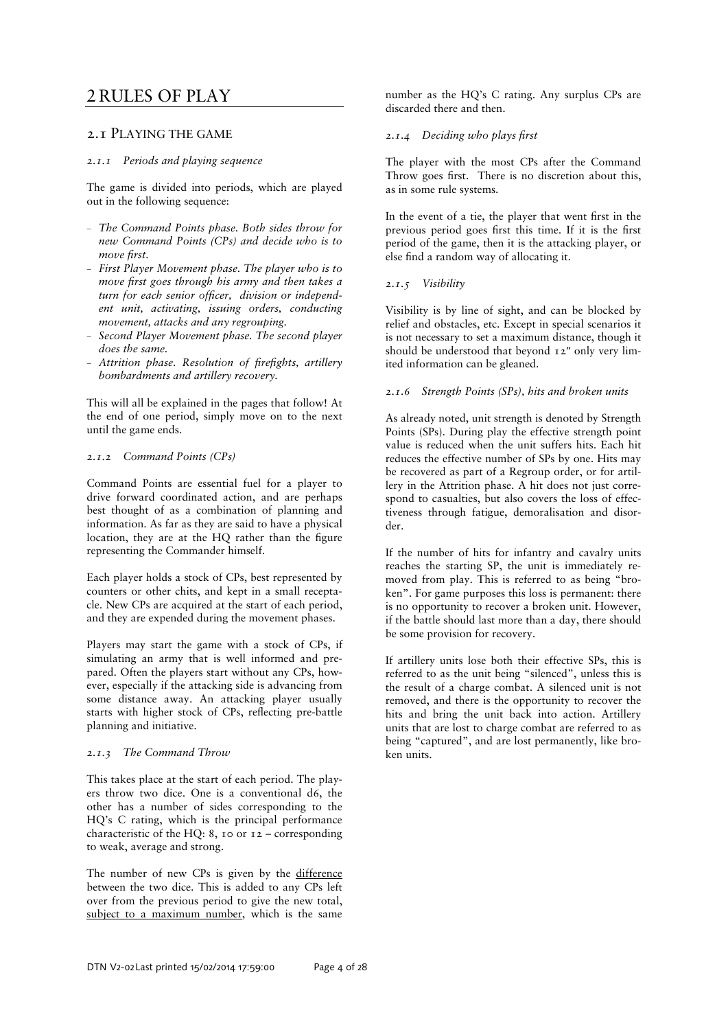# 2 RULES OF PLAY

# 2.1 PLAYING THE GAME

## *2.1.1 Periods and playing sequence*

The game is divided into periods, which are played out in the following sequence:

- *The Command Points phase. Both sides throw for new Command Points (CPs) and decide who is to move first.*
- *First Player Movement phase. The player who is to move first goes through his army and then takes a turn for each senior officer, division or independent unit, activating, issuing orders, conducting movement, attacks and any regrouping.*
- *Second Player Movement phase. The second player does the same.*
- Attrition phase. Resolution of firefights, artillery *bombardments and artillery recovery.*

This will all be explained in the pages that follow! At the end of one period, simply move on to the next until the game ends.

### *2.1.2 Command Points (CPs)*

Command Points are essential fuel for a player to drive forward coordinated action, and are perhaps best thought of as a combination of planning and information. As far as they are said to have a physical location, they are at the HQ rather than the figure representing the Commander himself.

Each player holds a stock of CPs, best represented by counters or other chits, and kept in a small receptacle. New CPs are acquired at the start of each period, and they are expended during the movement phases.

Players may start the game with a stock of CPs, if simulating an army that is well informed and prepared. Often the players start without any CPs, however, especially if the attacking side is advancing from some distance away. An attacking player usually starts with higher stock of CPs, reflecting pre-battle planning and initiative.

# *2.1.3 The Command Throw*

This takes place at the start of each period. The players throw two dice. One is a conventional d6, the other has a number of sides corresponding to the HQ's C rating, which is the principal performance characteristic of the HQ: 8, 10 or 12 – corresponding to weak, average and strong.

The number of new CPs is given by the difference between the two dice. This is added to any CPs left over from the previous period to give the new total, subject to a maximum number, which is the same

number as the HQ's C rating. Any surplus CPs are discarded there and then.

# **2.1.4** *Deciding who plays first*

The player with the most CPs after the Command Throw goes first. There is no discretion about this, as in some rule systems.

In the event of a tie, the player that went first in the previous period goes first this time. If it is the first period of the game, then it is the attacking player, or else find a random way of allocating it.

# *2.1.5 Visibility*

Visibility is by line of sight, and can be blocked by relief and obstacles, etc. Except in special scenarios it is not necessary to set a maximum distance, though it should be understood that beyond 12" only very limited information can be gleaned.

# *2.1.6 Strength Points (SPs), hits and broken units*

As already noted, unit strength is denoted by Strength Points (SPs). During play the effective strength point value is reduced when the unit suffers hits. Each hit reduces the effective number of SPs by one. Hits may be recovered as part of a Regroup order, or for artillery in the Attrition phase. A hit does not just correspond to casualties, but also covers the loss of effectiveness through fatigue, demoralisation and disorder.

If the number of hits for infantry and cavalry units reaches the starting SP, the unit is immediately removed from play. This is referred to as being "broken". For game purposes this loss is permanent: there is no opportunity to recover a broken unit. However, if the battle should last more than a day, there should be some provision for recovery.

If artillery units lose both their effective SPs, this is referred to as the unit being "silenced", unless this is the result of a charge combat. A silenced unit is not removed, and there is the opportunity to recover the hits and bring the unit back into action. Artillery units that are lost to charge combat are referred to as being "captured", and are lost permanently, like broken units.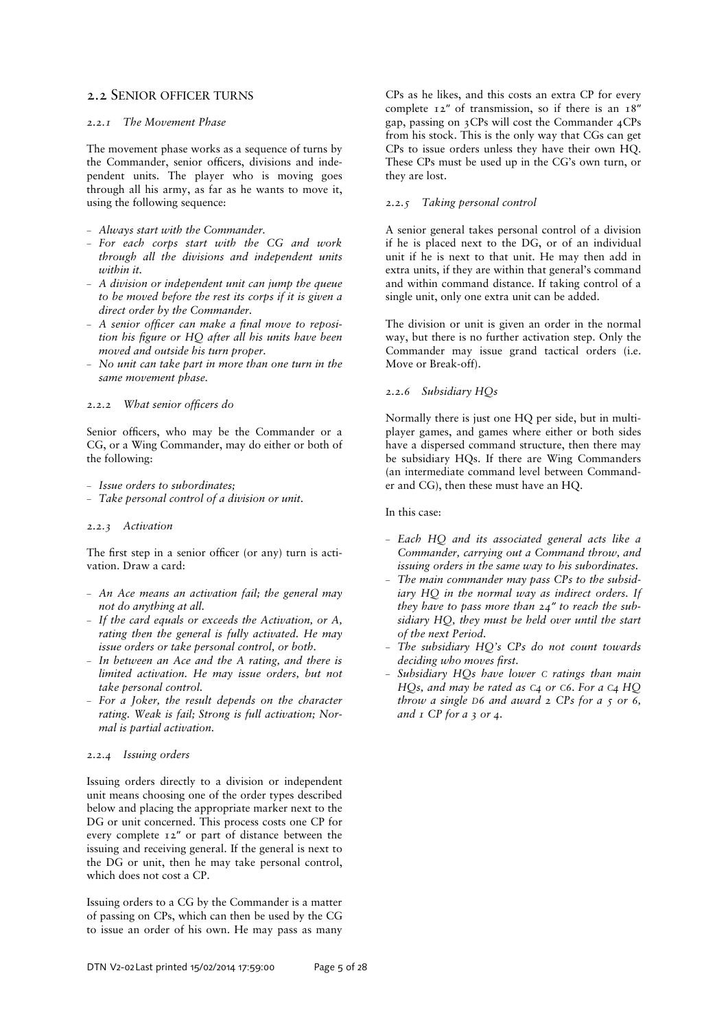# 2.2 SENIOR OFFICER TURNS

### *2.2.1 The Movement Phase*

The movement phase works as a sequence of turns by the Commander, senior officers, divisions and independent units. The player who is moving goes through all his army, as far as he wants to move it, using the following sequence:

- *Always start with the Commander.*
- *For each corps start with the CG and work through all the divisions and independent units within it.*
- *A division or independent unit can jump the queue to be moved before the rest its corps if it is given a direct order by the Commander.*
- A senior officer can make a final move to reposi*tion his =gure or HQ after all his units have been moved and outside his turn proper.*
- *No unit can take part in more than one turn in the same movement phase.*

### 2.2.2 What senior officers do

Senior officers, who may be the Commander or a CG, or a Wing Commander, may do either or both of the following:

- *Issue orders to subordinates;*
- *Take personal control of a division or unit.*

#### *2.2.3 Activation*

The first step in a senior officer (or any) turn is activation. Draw a card:

- *An Ace means an activation fail; the general may not do anything at all.*
- *If the card equals or exceeds the Activation, or A, rating then the general is fully activated. He may issue orders or take personal control, or both.*
- *In between an Ace and the A rating, and there is limited activation. He may issue orders, but not take personal control.*
- *For a Joker, the result depends on the character rating. Weak is fail; Strong is full activation; Normal is partial activation.*

# *2.2.4 Issuing orders*

Issuing orders directly to a division or independent unit means choosing one of the order types described below and placing the appropriate marker next to the DG or unit concerned. This process costs one CP for every complete 12″ or part of distance between the issuing and receiving general. If the general is next to the DG or unit, then he may take personal control, which does not cost a CP.

Issuing orders to a CG by the Commander is a matter of passing on CPs, which can then be used by the CG to issue an order of his own. He may pass as many

CPs as he likes, and this costs an extra CP for every complete 12″ of transmission, so if there is an 18″ gap, passing on 3CPs will cost the Commander 4CPs from his stock. This is the only way that CGs can get CPs to issue orders unless they have their own HQ. These CPs must be used up in the CG's own turn, or they are lost.

# *2.2.5 Taking personal control*

A senior general takes personal control of a division if he is placed next to the DG, or of an individual unit if he is next to that unit. He may then add in extra units, if they are within that general's command and within command distance. If taking control of a single unit, only one extra unit can be added.

The division or unit is given an order in the normal way, but there is no further activation step. Only the Commander may issue grand tactical orders (i.e. Move or Break-off).

# *2.2.6 Subsidiary HQs*

Normally there is just one HQ per side, but in multiplayer games, and games where either or both sides have a dispersed command structure, then there may be subsidiary HQs. If there are Wing Commanders (an intermediate command level between Commander and CG), then these must have an HQ.

#### In this case:

- *Each HQ and its associated general acts like a Commander, carrying out a Command throw, and issuing orders in the same way to his subordinates.*
- *The main commander may pass CPs to the subsidiary HQ in the normal way as indirect orders. If they have to pass more than 24″ to reach the subsidiary HQ, they must be held over until the start of the next Period.*
- *The subsidiary HQ's CPs do not count towards*   $deciding who moves first.$
- *Subsidiary HQs have lower C ratings than main HQs, and may be rated as C4 or C6. For a C4 HQ throw a single D6 and award 2 CPs for a 5 or 6, and 1 CP for a 3 or 4.*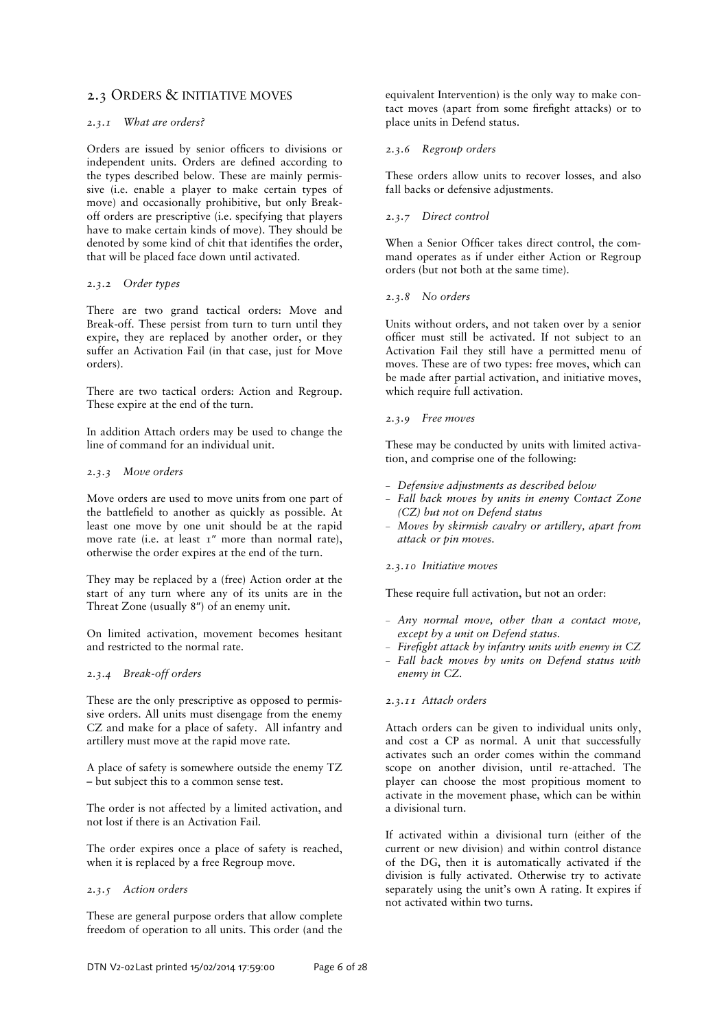# 2.3 ORDERS & INITIATIVE MOVES

# *2.3.1 What are orders?*

Orders are issued by senior officers to divisions or independent units. Orders are defined according to the types described below. These are mainly permissive (i.e. enable a player to make certain types of move) and occasionally prohibitive, but only Breakoff orders are prescriptive (i.e. specifying that players have to make certain kinds of move). They should be denoted by some kind of chit that identifies the order, that will be placed face down until activated.

#### *2.3.2 Order types*

There are two grand tactical orders: Move and Break-off. These persist from turn to turn until they expire, they are replaced by another order, or they suffer an Activation Fail (in that case, just for Move orders).

There are two tactical orders: Action and Regroup. These expire at the end of the turn.

In addition Attach orders may be used to change the line of command for an individual unit.

### *2.3.3 Move orders*

Move orders are used to move units from one part of the battlefield to another as quickly as possible. At least one move by one unit should be at the rapid move rate (i.e. at least 1" more than normal rate), otherwise the order expires at the end of the turn.

They may be replaced by a (free) Action order at the start of any turn where any of its units are in the Threat Zone (usually 8″) of an enemy unit.

On limited activation, movement becomes hesitant and restricted to the normal rate.

# *2.3.4 Break-off orders*

These are the only prescriptive as opposed to permissive orders. All units must disengage from the enemy CZ and make for a place of safety. All infantry and artillery must move at the rapid move rate.

A place of safety is somewhere outside the enemy TZ – but subject this to a common sense test.

The order is not affected by a limited activation, and not lost if there is an Activation Fail.

The order expires once a place of safety is reached, when it is replaced by a free Regroup move.

# *2.3.5 Action orders*

These are general purpose orders that allow complete freedom of operation to all units. This order (and the

equivalent Intervention) is the only way to make contact moves (apart from some firefight attacks) or to place units in Defend status.

## *2.3.6 Regroup orders*

These orders allow units to recover losses, and also fall backs or defensive adjustments.

## *2.3.7 Direct control*

When a Senior Officer takes direct control, the command operates as if under either Action or Regroup orders (but not both at the same time).

### *2.3.8 No orders*

Units without orders, and not taken over by a senior officer must still be activated. If not subject to an Activation Fail they still have a permitted menu of moves. These are of two types: free moves, which can be made after partial activation, and initiative moves, which require full activation.

### *2.3.9 Free moves*

These may be conducted by units with limited activation, and comprise one of the following:

- *Defensive adjustments as described below*
- *Fall back moves by units in enemy Contact Zone (CZ) but not on Defend status*
- *Moves by skirmish cavalry or artillery, apart from attack or pin moves.*

# *2.3.10 Initiative moves*

These require full activation, but not an order:

- *Any normal move, other than a contact move, except by a unit on Defend status.*
- Firefight attack by infantry units with enemy in CZ
- *Fall back moves by units on Defend status with enemy in CZ.*

#### *2.3.11 Attach orders*

Attach orders can be given to individual units only, and cost a CP as normal. A unit that successfully activates such an order comes within the command scope on another division, until re-attached. The player can choose the most propitious moment to activate in the movement phase, which can be within a divisional turn.

If activated within a divisional turn (either of the current or new division) and within control distance of the DG, then it is automatically activated if the division is fully activated. Otherwise try to activate separately using the unit's own A rating. It expires if not activated within two turns.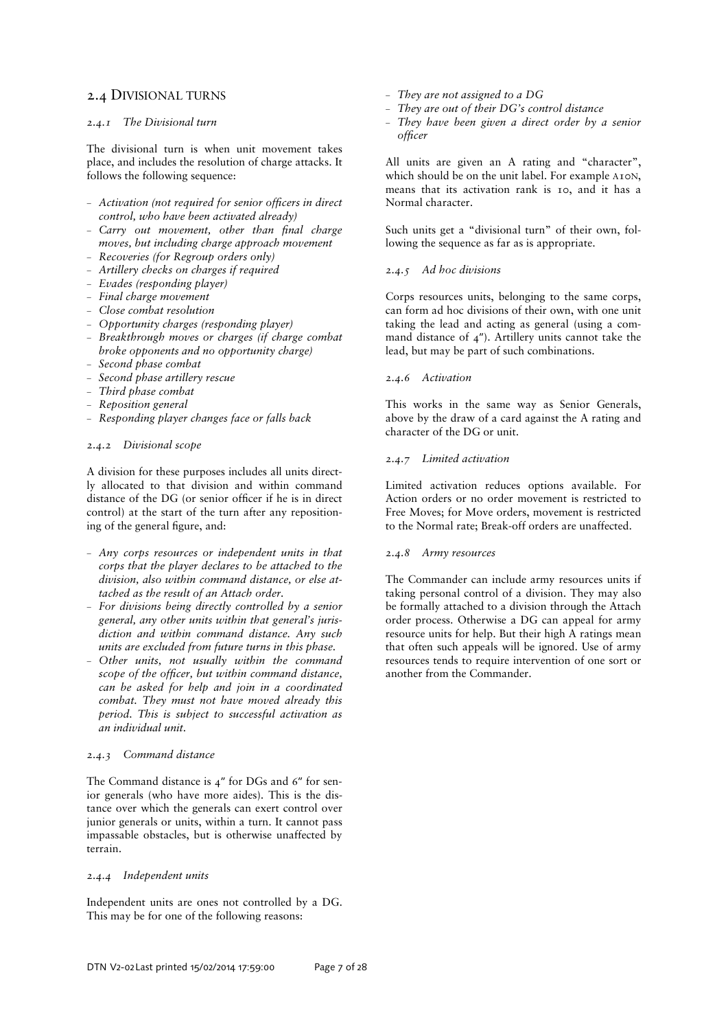# 2.4 DIVISIONAL TURNS

# *2.4.1 The Divisional turn*

The divisional turn is when unit movement takes place, and includes the resolution of charge attacks. It follows the following sequence:

- Activation (not required for senior officers in direct *control, who have been activated already)*
- Carry out movement, other than final charge *moves, but including charge approach movement*
- *Recoveries (for Regroup orders only)*
- *Artillery checks on charges if required*
- *Evades (responding player)*
- *Final charge movement*
- *Close combat resolution*
- *Opportunity charges (responding player)*
- *Breakthrough moves or charges (if charge combat broke opponents and no opportunity charge)*
- *Second phase combat*
- *Second phase artillery rescue*
- *Third phase combat*
- *Reposition general*
- *Responding player changes face or falls back*

### *2.4.2 Divisional scope*

A division for these purposes includes all units directly allocated to that division and within command distance of the  $DG$  (or senior officer if he is in direct control) at the start of the turn after any repositioning of the general figure, and:

- *Any corps resources or independent units in that corps that the player declares to be attached to the division, also within command distance, or else attached as the result of an Attach order.*
- *For divisions being directly controlled by a senior general, any other units within that general's jurisdiction and within command distance. Any such units are excluded from future turns in this phase.*
- *Other units, not usually within the command scope of the officer, but within command distance, can be asked for help and join in a coordinated combat. They must not have moved already this period. This is subject to successful activation as an individual unit.*

# *2.4.3 Command distance*

The Command distance is 4″ for DGs and 6″ for senior generals (who have more aides). This is the distance over which the generals can exert control over junior generals or units, within a turn. It cannot pass impassable obstacles, but is otherwise unaffected by terrain.

# *2.4.4 Independent units*

Independent units are ones not controlled by a DG. This may be for one of the following reasons:

- *They are not assigned to a DG*
- *They are out of their DG's control distance*
- *They have been given a direct order by a senior officer*

All units are given an A rating and "character", which should be on the unit label. For example A10N, means that its activation rank is 10, and it has a Normal character.

Such units get a "divisional turn" of their own, following the sequence as far as is appropriate.

### *2.4.5 Ad hoc divisions*

Corps resources units, belonging to the same corps, can form ad hoc divisions of their own, with one unit taking the lead and acting as general (using a command distance of 4″). Artillery units cannot take the lead, but may be part of such combinations.

### *2.4.6 Activation*

This works in the same way as Senior Generals, above by the draw of a card against the A rating and character of the DG or unit.

# *2.4.7 Limited activation*

Limited activation reduces options available. For Action orders or no order movement is restricted to Free Moves; for Move orders, movement is restricted to the Normal rate; Break-off orders are unaffected.

# *2.4.8 Army resources*

The Commander can include army resources units if taking personal control of a division. They may also be formally attached to a division through the Attach order process. Otherwise a DG can appeal for army resource units for help. But their high A ratings mean that often such appeals will be ignored. Use of army resources tends to require intervention of one sort or another from the Commander.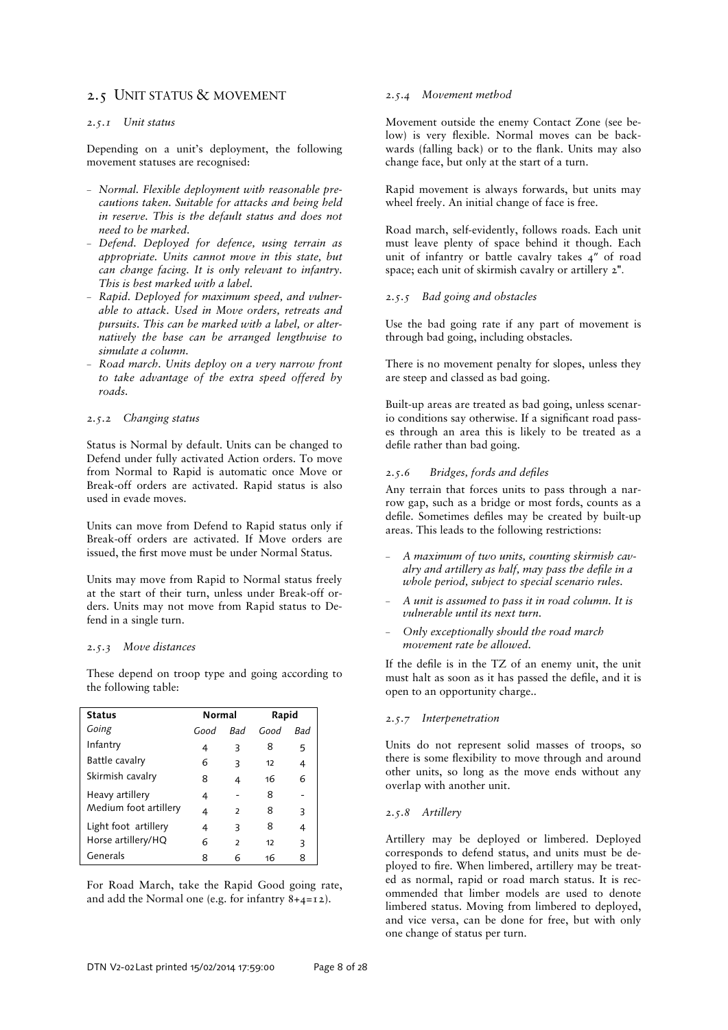# 2.5 UNIT STATUS & MOVEMENT

### *2.5.1 Unit status*

Depending on a unit's deployment, the following movement statuses are recognised:

- *Normal. Flexible deployment with reasonable precautions taken. Suitable for attacks and being held in reserve. This is the default status and does not need to be marked.*
- *Defend. Deployed for defence, using terrain as appropriate. Units cannot move in this state, but can change facing. It is only relevant to infantry. This is best marked with a label.*
- *Rapid. Deployed for maximum speed, and vulnerable to attack. Used in Move orders, retreats and pursuits. This can be marked with a label, or alternatively the base can be arranged lengthwise to simulate a column.*
- *Road march. Units deploy on a very narrow front to take advantage of the extra speed offered by roads.*

### *2.5.2 Changing status*

Status is Normal by default. Units can be changed to Defend under fully activated Action orders. To move from Normal to Rapid is automatic once Move or Break-off orders are activated. Rapid status is also used in evade moves.

Units can move from Defend to Rapid status only if Break-off orders are activated. If Move orders are issued, the first move must be under Normal Status.

Units may move from Rapid to Normal status freely at the start of their turn, unless under Break-off orders. Units may not move from Rapid status to Defend in a single turn.

#### *2.5.3 Move distances*

These depend on troop type and going according to the following table:

| <b>Status</b>         | Normal |                | Rapid |            |
|-----------------------|--------|----------------|-------|------------|
| Going                 | Good   | <b>Bad</b>     | Good  | <i>Bad</i> |
| Infantry              | 4      | 3              | 8     | 5          |
| Battle cavalry        | 6      | 3              | 12    | 4          |
| Skirmish cavalry      | 8      | 4              | 16    | 6          |
| Heavy artillery       | 4      |                | 8     |            |
| Medium foot artillery | 4      | $\overline{2}$ | 8     | 3          |
| Light foot artillery  | 4      | 3              | 8     | 4          |
| Horse artillery/HQ    | 6      | $\overline{2}$ | 12    | 3          |
| Generals              | 8      | 6              | 16    | 8          |

For Road March, take the Rapid Good going rate, and add the Normal one (e.g. for infantry 8+4=12).

#### *2.5.4 Movement method*

Movement outside the enemy Contact Zone (see below) is very flexible. Normal moves can be backwards (falling back) or to the flank. Units may also change face, but only at the start of a turn.

Rapid movement is always forwards, but units may wheel freely. An initial change of face is free.

Road march, self-evidently, follows roads. Each unit must leave plenty of space behind it though. Each unit of infantry or battle cavalry takes 4″ of road space; each unit of skirmish cavalry or artillery  $2$ <sup>"</sup>.

#### *2.5.5 Bad going and obstacles*

Use the bad going rate if any part of movement is through bad going, including obstacles.

There is no movement penalty for slopes, unless they are steep and classed as bad going.

Built-up areas are treated as bad going, unless scenario conditions say otherwise. If a significant road passes through an area this is likely to be treated as a defile rather than bad going.

#### 2.5.6 *Bridges, fords and defiles*

Any terrain that forces units to pass through a narrow gap, such as a bridge or most fords, counts as a defile. Sometimes defiles may be created by built-up areas. This leads to the following restrictions:

- *A maximum of two units, counting skirmish cavalry and artillery as half, may pass the defile in a whole period, subject to special scenario rules.*
- *A unit is assumed to pass it in road column. It is vulnerable until its next turn.*
- *Only exceptionally should the road march movement rate be allowed.*

If the defile is in the TZ of an enemy unit, the unit must halt as soon as it has passed the defile, and it is open to an opportunity charge..

### *2.5.7 Interpenetration*

Units do not represent solid masses of troops, so there is some flexibility to move through and around other units, so long as the move ends without any overlap with another unit.

#### *2.5.8 Artillery*

Artillery may be deployed or limbered. Deployed corresponds to defend status, and units must be deployed to fire. When limbered, artillery may be treated as normal, rapid or road march status. It is recommended that limber models are used to denote limbered status. Moving from limbered to deployed, and vice versa, can be done for free, but with only one change of status per turn.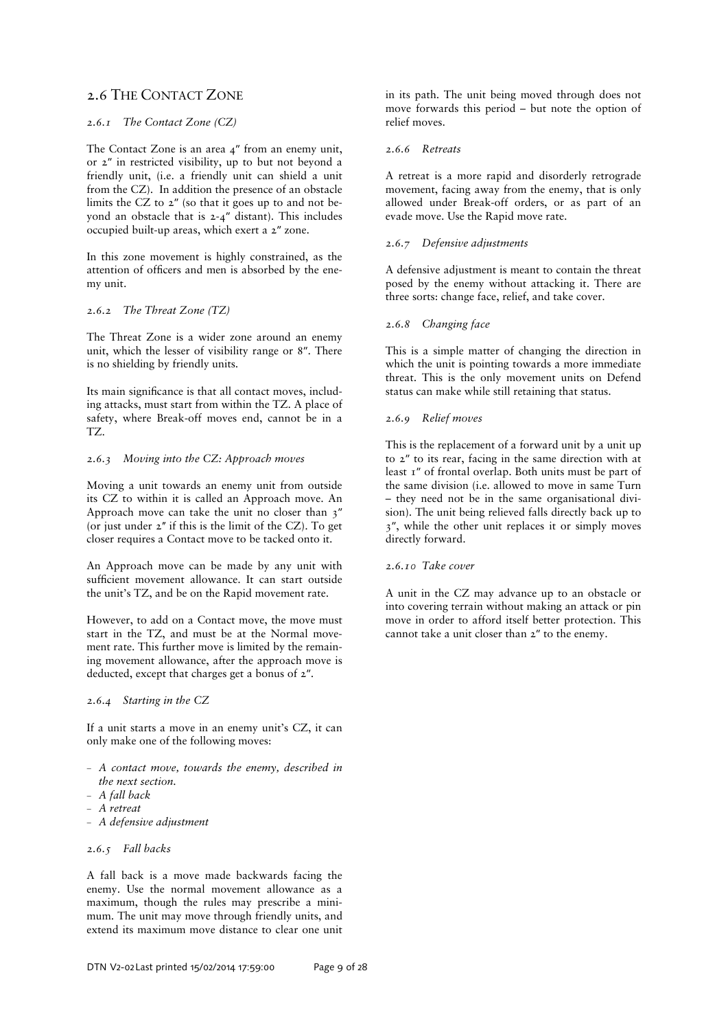# 2.6 THE CONTACT ZONE

# *2.6.1 The Contact Zone (CZ)*

The Contact Zone is an area 4″ from an enemy unit, or 2″ in restricted visibility, up to but not beyond a friendly unit, (i.e. a friendly unit can shield a unit from the CZ). In addition the presence of an obstacle limits the CZ to 2″ (so that it goes up to and not beyond an obstacle that is 2-4″ distant). This includes occupied built-up areas, which exert a 2″ zone.

In this zone movement is highly constrained, as the attention of officers and men is absorbed by the enemy unit.

#### *2.6.2 The Threat Zone (TZ)*

The Threat Zone is a wider zone around an enemy unit, which the lesser of visibility range or 8″. There is no shielding by friendly units.

Its main significance is that all contact moves, including attacks, must start from within the TZ. A place of safety, where Break-off moves end, cannot be in a TZ.

### *2.6.3 Moving into the CZ: Approach moves*

Moving a unit towards an enemy unit from outside its CZ to within it is called an Approach move. An Approach move can take the unit no closer than 3″ (or just under  $2''$  if this is the limit of the CZ). To get closer requires a Contact move to be tacked onto it.

An Approach move can be made by any unit with sufficient movement allowance. It can start outside the unit's TZ, and be on the Rapid movement rate.

However, to add on a Contact move, the move must start in the TZ, and must be at the Normal movement rate. This further move is limited by the remaining movement allowance, after the approach move is deducted, except that charges get a bonus of 2″.

## *2.6.4 Starting in the CZ*

If a unit starts a move in an enemy unit's CZ, it can only make one of the following moves:

- *A contact move, towards the enemy, described in the next section.*
- *A fall back*
- *A retreat*
- *A defensive adjustment*

### *2.6.5 Fall backs*

A fall back is a move made backwards facing the enemy. Use the normal movement allowance as a maximum, though the rules may prescribe a minimum. The unit may move through friendly units, and extend its maximum move distance to clear one unit

in its path. The unit being moved through does not move forwards this period – but note the option of relief moves.

#### *2.6.6 Retreats*

A retreat is a more rapid and disorderly retrograde movement, facing away from the enemy, that is only allowed under Break-off orders, or as part of an evade move. Use the Rapid move rate.

#### *2.6.7 Defensive adjustments*

A defensive adjustment is meant to contain the threat posed by the enemy without attacking it. There are three sorts: change face, relief, and take cover.

### *2.6.8 Changing face*

This is a simple matter of changing the direction in which the unit is pointing towards a more immediate threat. This is the only movement units on Defend status can make while still retaining that status.

# *2.6.9 Relief moves*

This is the replacement of a forward unit by a unit up to 2″ to its rear, facing in the same direction with at least 1″ of frontal overlap. Both units must be part of the same division (i.e. allowed to move in same Turn – they need not be in the same organisational division). The unit being relieved falls directly back up to 3″, while the other unit replaces it or simply moves directly forward.

#### *2.6.10 Take cover*

A unit in the CZ may advance up to an obstacle or into covering terrain without making an attack or pin move in order to afford itself better protection. This cannot take a unit closer than 2″ to the enemy.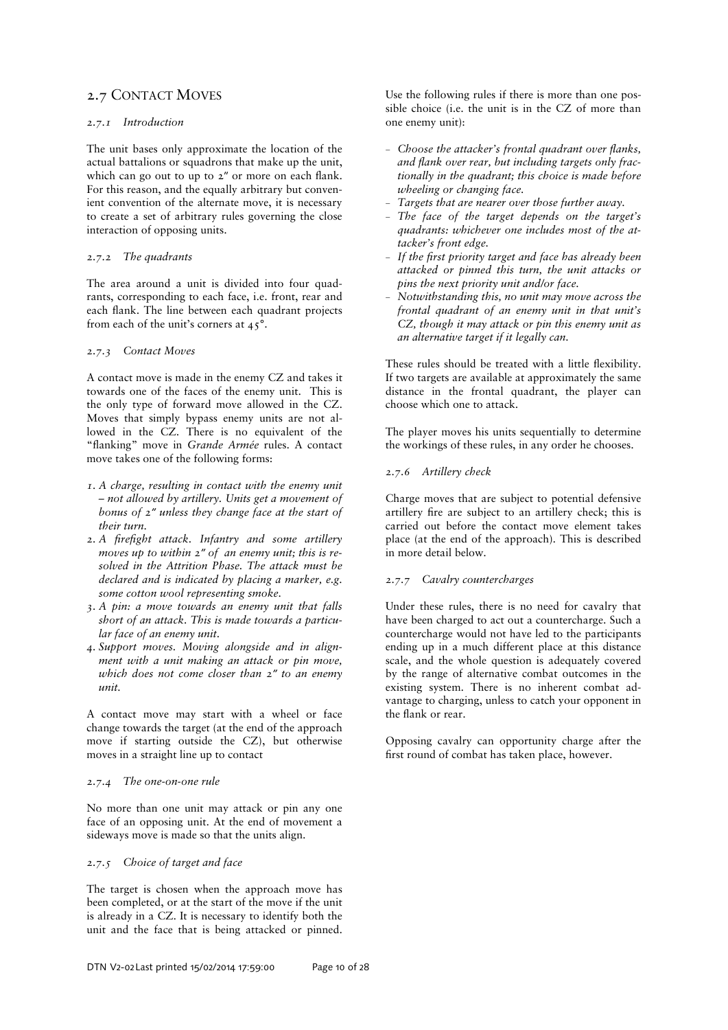# 2.7 CONTACT MOVES

# *2.7.1 Introduction*

The unit bases only approximate the location of the actual battalions or squadrons that make up the unit, which can go out to up to  $2''$  or more on each flank. For this reason, and the equally arbitrary but convenient convention of the alternate move, it is necessary to create a set of arbitrary rules governing the close interaction of opposing units.

### *2.7.2 The quadrants*

The area around a unit is divided into four quadrants, corresponding to each face, i.e. front, rear and each flank. The line between each quadrant projects from each of the unit's corners at 45°.

### *2.7.3 Contact Moves*

A contact move is made in the enemy CZ and takes it towards one of the faces of the enemy unit. This is the only type of forward move allowed in the CZ. Moves that simply bypass enemy units are not allowed in the CZ. There is no equivalent of the "flanking" move in *Grande Armée* rules. A contact move takes one of the following forms:

- *1. A charge, resulting in contact with the enemy unit – not allowed by artillery. Units get a movement of bonus of 2″ unless they change face at the start of their turn.*
- 2. A firefight attack. Infantry and some artillery *moves up to within 2″ of an enemy unit; this is resolved in the Attrition Phase. The attack must be declared and is indicated by placing a marker, e.g. some cotton wool representing smoke.*
- *3. A pin: a move towards an enemy unit that falls short of an attack. This is made towards a particular face of an enemy unit.*
- *4. Support moves. Moving alongside and in alignment with a unit making an attack or pin move, which does not come closer than 2″ to an enemy unit.*

A contact move may start with a wheel or face change towards the target (at the end of the approach move if starting outside the CZ), but otherwise moves in a straight line up to contact

#### *2.7.4 The one-on-one rule*

No more than one unit may attack or pin any one face of an opposing unit. At the end of movement a sideways move is made so that the units align.

# *2.7.5 Choice of target and face*

The target is chosen when the approach move has been completed, or at the start of the move if the unit is already in a CZ. It is necessary to identify both the unit and the face that is being attacked or pinned.

Use the following rules if there is more than one possible choice (i.e. the unit is in the CZ of more than one enemy unit):

- *Choose the attacker's frontal quadrant over Manks,*  and flank over rear, but including targets only frac*tionally in the quadrant; this choice is made before wheeling or changing face.*
- *Targets that are nearer over those further away.*
- *The face of the target depends on the target's quadrants: whichever one includes most of the attacker's front edge.*
- $-$  If the first priority target and face has already been *attacked or pinned this turn, the unit attacks or pins the next priority unit and/or face.*
- *Notwithstanding this, no unit may move across the frontal quadrant of an enemy unit in that unit's CZ, though it may attack or pin this enemy unit as an alternative target if it legally can.*

These rules should be treated with a little flexibility. If two targets are available at approximately the same distance in the frontal quadrant, the player can choose which one to attack.

The player moves his units sequentially to determine the workings of these rules, in any order he chooses.

### *2.7.6 Artillery check*

Charge moves that are subject to potential defensive artillery fire are subject to an artillery check; this is carried out before the contact move element takes place (at the end of the approach). This is described in more detail below.

# *2.7.7 Cavalry countercharges*

Under these rules, there is no need for cavalry that have been charged to act out a countercharge. Such a countercharge would not have led to the participants ending up in a much different place at this distance scale, and the whole question is adequately covered by the range of alternative combat outcomes in the existing system. There is no inherent combat advantage to charging, unless to catch your opponent in the flank or rear.

Opposing cavalry can opportunity charge after the first round of combat has taken place, however.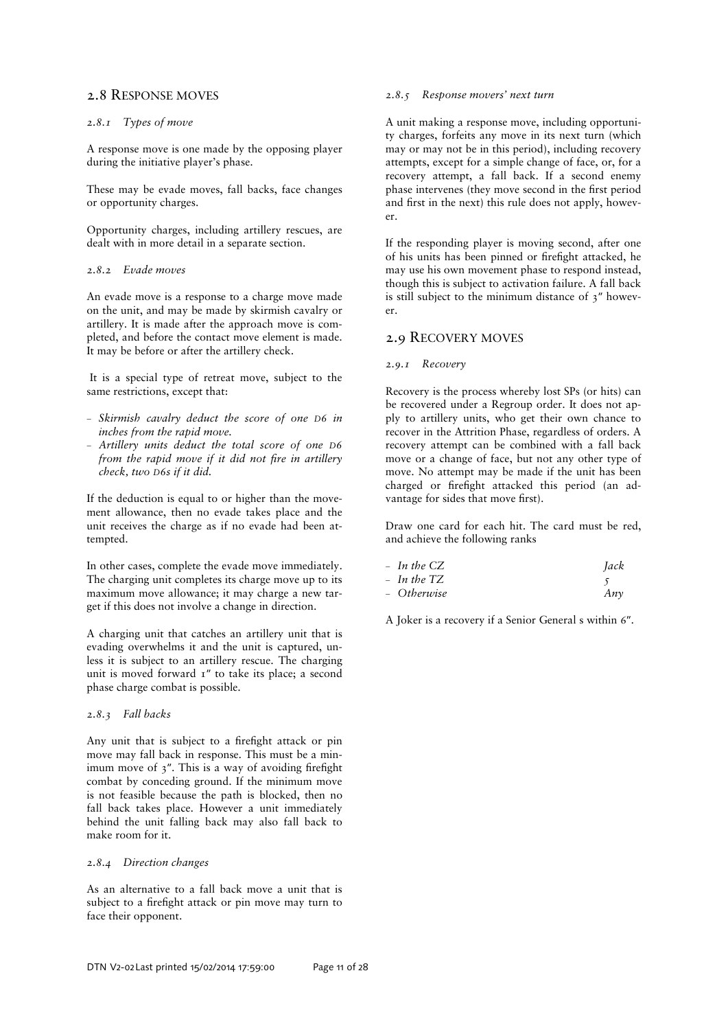# 2.8 RESPONSE MOVES

### *2.8.1 Types of move*

A response move is one made by the opposing player during the initiative player's phase.

These may be evade moves, fall backs, face changes or opportunity charges.

Opportunity charges, including artillery rescues, are dealt with in more detail in a separate section.

### *2.8.2 Evade moves*

An evade move is a response to a charge move made on the unit, and may be made by skirmish cavalry or artillery. It is made after the approach move is completed, and before the contact move element is made. It may be before or after the artillery check.

 It is a special type of retreat move, subject to the same restrictions, except that:

- *Skirmish cavalry deduct the score of one D6 in inches from the rapid move.*
- *Artillery units deduct the total score of one D6 from the rapid move if it did not fire in artillery check, two D6s if it did.*

If the deduction is equal to or higher than the movement allowance, then no evade takes place and the unit receives the charge as if no evade had been attempted.

In other cases, complete the evade move immediately. The charging unit completes its charge move up to its maximum move allowance; it may charge a new target if this does not involve a change in direction.

A charging unit that catches an artillery unit that is evading overwhelms it and the unit is captured, unless it is subject to an artillery rescue. The charging unit is moved forward  $I''$  to take its place; a second phase charge combat is possible.

# *2.8.3 Fall backs*

Any unit that is subject to a firefight attack or pin move may fall back in response. This must be a minimum move of  $3$ ". This is a way of avoiding firefight combat by conceding ground. If the minimum move is not feasible because the path is blocked, then no fall back takes place. However a unit immediately behind the unit falling back may also fall back to make room for it.

#### *2.8.4 Direction changes*

As an alternative to a fall back move a unit that is subject to a firefight attack or pin move may turn to face their opponent.

### *2.8.5 Response movers' next turn*

A unit making a response move, including opportunity charges, forfeits any move in its next turn (which may or may not be in this period), including recovery attempts, except for a simple change of face, or, for a recovery attempt, a fall back. If a second enemy phase intervenes (they move second in the first period and first in the next) this rule does not apply, however.

If the responding player is moving second, after one of his units has been pinned or firefight attacked, he may use his own movement phase to respond instead, though this is subject to activation failure. A fall back is still subject to the minimum distance of 3″ however.

# 2.9 RECOVERY MOVES

#### *2.9.1 Recovery*

Recovery is the process whereby lost SPs (or hits) can be recovered under a Regroup order. It does not apply to artillery units, who get their own chance to recover in the Attrition Phase, regardless of orders. A recovery attempt can be combined with a fall back move or a change of face, but not any other type of move. No attempt may be made if the unit has been charged or firefight attacked this period (an advantage for sides that move first).

Draw one card for each hit. The card must be red, and achieve the following ranks

| $-$ In the CZ | <i>Jack</i> |  |
|---------------|-------------|--|
|               |             |  |

| $-$ In the TZ |     |
|---------------|-----|
| – Otherwise   | Anν |

A Joker is a recovery if a Senior General s within 6″.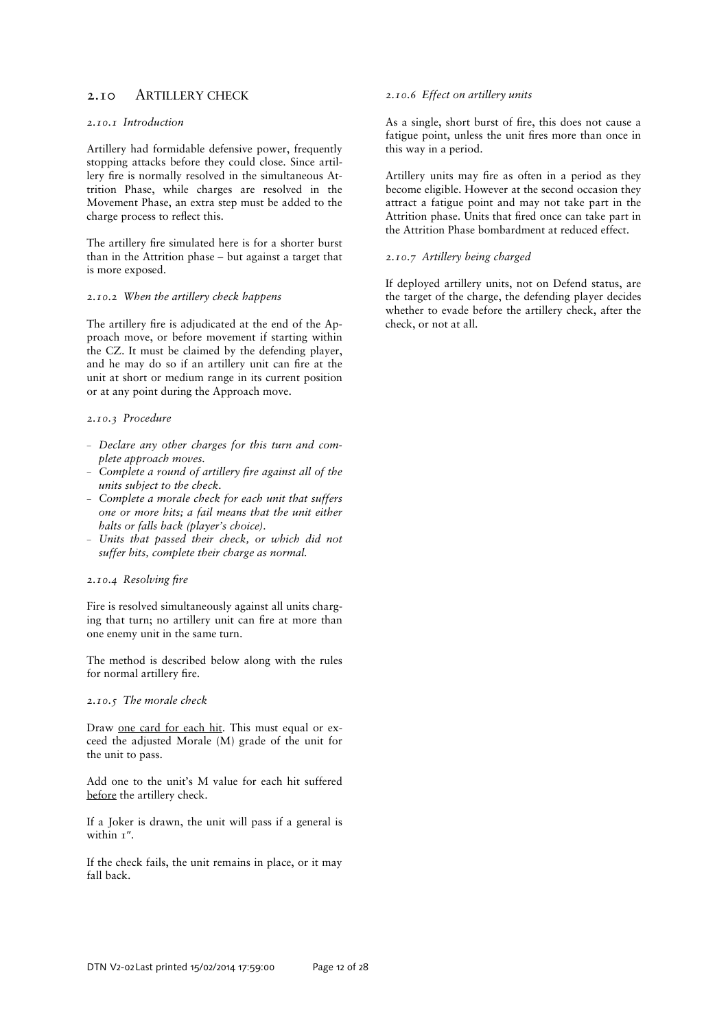# 2.10 ARTILLERY CHECK

# *2.10.1 Introduction*

Artillery had formidable defensive power, frequently stopping attacks before they could close. Since artillery fire is normally resolved in the simultaneous Attrition Phase, while charges are resolved in the Movement Phase, an extra step must be added to the charge process to reflect this.

The artillery fire simulated here is for a shorter burst than in the Attrition phase – but against a target that is more exposed.

#### *2.10.2 When the artillery check happens*

The artillery fire is adjudicated at the end of the Approach move, or before movement if starting within the CZ. It must be claimed by the defending player, and he may do so if an artillery unit can fire at the unit at short or medium range in its current position or at any point during the Approach move.

#### *2.10.3 Procedure*

- *Declare any other charges for this turn and complete approach moves.*
- Complete a round of artillery fire against all of the *units subject to the check.*
- *Complete a morale check for each unit that suffers one or more hits; a fail means that the unit either halts or falls back (player's choice).*
- *Units that passed their check, or which did not suffer hits, complete their charge as normal.*

#### 2.10.4 Resolving fire

Fire is resolved simultaneously against all units charging that turn; no artillery unit can fire at more than one enemy unit in the same turn.

The method is described below along with the rules for normal artillery fire.

#### *2.10.5 The morale check*

Draw one card for each hit. This must equal or exceed the adjusted Morale (M) grade of the unit for the unit to pass.

Add one to the unit's M value for each hit suffered before the artillery check.

If a Joker is drawn, the unit will pass if a general is within  $1$ ".

If the check fails, the unit remains in place, or it may fall back.

#### *2.10.6 Effect on artillery units*

As a single, short burst of fire, this does not cause a fatigue point, unless the unit fires more than once in this way in a period.

Artillery units may fire as often in a period as they become eligible. However at the second occasion they attract a fatigue point and may not take part in the Attrition phase. Units that fired once can take part in the Attrition Phase bombardment at reduced effect.

#### *2.10.7 Artillery being charged*

If deployed artillery units, not on Defend status, are the target of the charge, the defending player decides whether to evade before the artillery check, after the check, or not at all.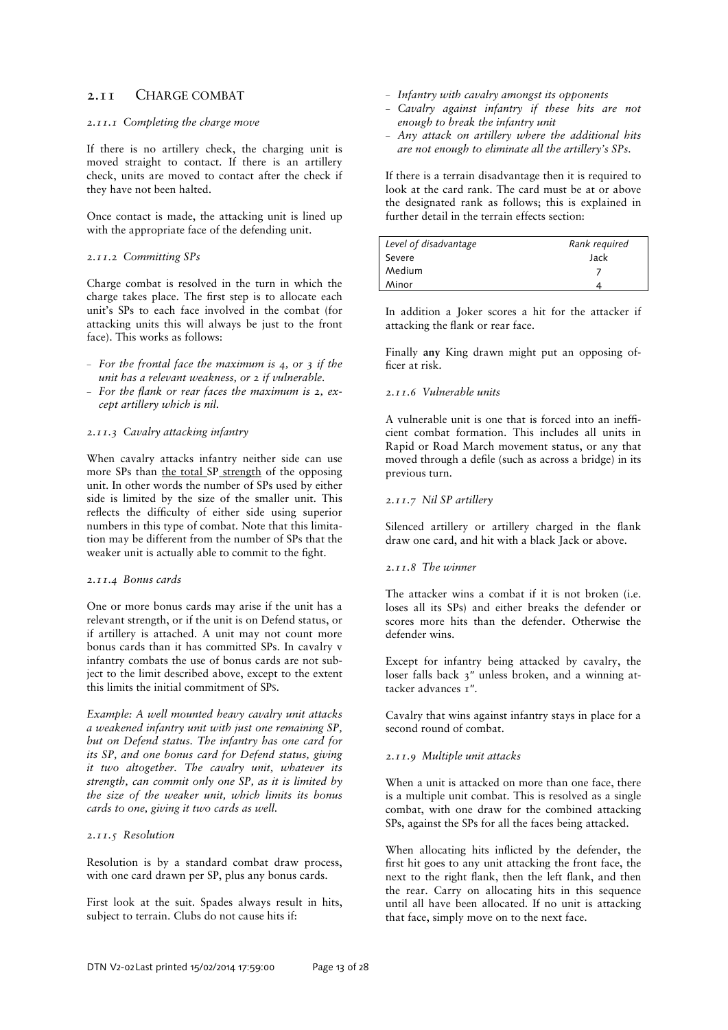# 2.11 CHARGE COMBAT

#### *2.11.1 Completing the charge move*

If there is no artillery check, the charging unit is moved straight to contact. If there is an artillery check, units are moved to contact after the check if they have not been halted.

Once contact is made, the attacking unit is lined up with the appropriate face of the defending unit.

### *2.11.2 Committing SPs*

Charge combat is resolved in the turn in which the charge takes place. The first step is to allocate each unit's SPs to each face involved in the combat (for attacking units this will always be just to the front face). This works as follows:

- *For the frontal face the maximum is 4, or 3 if the unit has a relevant weakness, or 2 if vulnerable.*
- *For the Mank or rear faces the maximum is 2, except artillery which is nil.*

### *2.11.3 Cavalry attacking infantry*

When cavalry attacks infantry neither side can use more SPs than the total SP strength of the opposing unit. In other words the number of SPs used by either side is limited by the size of the smaller unit. This reflects the difficulty of either side using superior numbers in this type of combat. Note that this limitation may be different from the number of SPs that the weaker unit is actually able to commit to the fight.

#### *2.11.4 Bonus cards*

One or more bonus cards may arise if the unit has a relevant strength, or if the unit is on Defend status, or if artillery is attached. A unit may not count more bonus cards than it has committed SPs. In cavalry v infantry combats the use of bonus cards are not subject to the limit described above, except to the extent this limits the initial commitment of SPS.

*Example: A well mounted heavy cavalry unit attacks a weakened infantry unit with just one remaining SP, but on Defend status. The infantry has one card for its SP, and one bonus card for Defend status, giving it two altogether. The cavalry unit, whatever its strength, can commit only one SP, as it is limited by the size of the weaker unit, which limits its bonus cards to one, giving it two cards as well.* 

## *2.11.5 Resolution*

Resolution is by a standard combat draw process, with one card drawn per SP, plus any bonus cards.

First look at the suit. Spades always result in hits, subject to terrain. Clubs do not cause hits if:

- *Infantry with cavalry amongst its opponents*
- *Cavalry against infantry if these hits are not enough to break the infantry unit*
- *Any attack on artillery where the additional hits are not enough to eliminate all the artillery's SPs.*

If there is a terrain disadvantage then it is required to look at the card rank. The card must be at or above the designated rank as follows; this is explained in further detail in the terrain effects section:

| Level of disadvantage | Rank required |
|-----------------------|---------------|
| Severe                | Jack          |
| Medium                |               |
| Minor                 |               |

In addition a Joker scores a hit for the attacker if attacking the flank or rear face.

Finally **any** King drawn might put an opposing officer at risk.

### *2.11.6 Vulnerable units*

A vulnerable unit is one that is forced into an inefficient combat formation. This includes all units in Rapid or Road March movement status, or any that moved through a defile (such as across a bridge) in its previous turn.

# *2.11.7 Nil SP artillery*

Silenced artillery or artillery charged in the flank draw one card, and hit with a black Jack or above.

# *2.11.8 The winner*

The attacker wins a combat if it is not broken (i.e. loses all its SPs) and either breaks the defender or scores more hits than the defender. Otherwise the defender wins.

Except for infantry being attacked by cavalry, the loser falls back 3″ unless broken, and a winning attacker advances 1".

Cavalry that wins against infantry stays in place for a second round of combat.

# *2.11.9 Multiple unit attacks*

When a unit is attacked on more than one face, there is a multiple unit combat. This is resolved as a single combat, with one draw for the combined attacking SPs, against the SPs for all the faces being attacked.

When allocating hits inflicted by the defender, the first hit goes to any unit attacking the front face, the next to the right flank, then the left flank, and then the rear. Carry on allocating hits in this sequence until all have been allocated. If no unit is attacking that face, simply move on to the next face.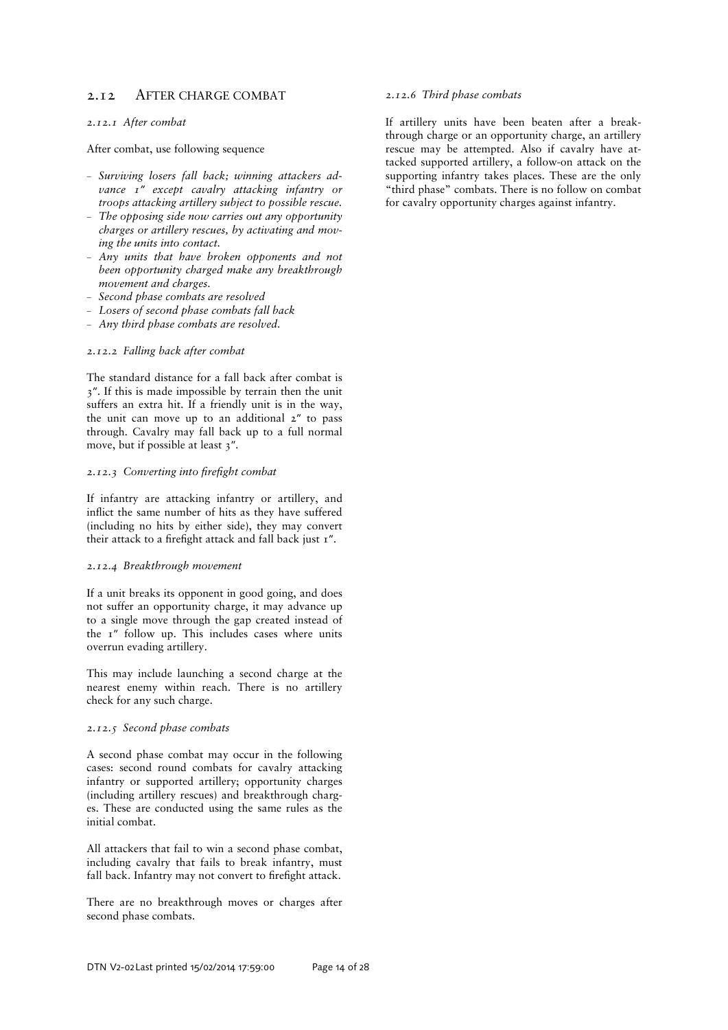# 2.12 AFTER CHARGE COMBAT

#### *2.12.1 After combat*

After combat, use following sequence

- *Surviving losers fall back; winning attackers advance 1″ except cavalry attacking infantry or troops attacking artillery subject to possible rescue.*
- *The opposing side now carries out any opportunity charges or artillery rescues, by activating and moving the units into contact.*
- *Any units that have broken opponents and not been opportunity charged make any breakthrough movement and charges.*
- *Second phase combats are resolved*
- *Losers of second phase combats fall back*
- *Any third phase combats are resolved.*

# *2.12.2 Falling back after combat*

The standard distance for a fall back after combat is 3″. If this is made impossible by terrain then the unit suffers an extra hit. If a friendly unit is in the way, the unit can move up to an additional 2″ to pass through. Cavalry may fall back up to a full normal move, but if possible at least 3″.

#### 2.12.3 Converting into firefight combat

If infantry are attacking infantry or artillery, and inflict the same number of hits as they have suffered (including no hits by either side), they may convert their attack to a firefight attack and fall back just  $I''$ .

#### *2.12.4 Breakthrough movement*

If a unit breaks its opponent in good going, and does not suffer an opportunity charge, it may advance up to a single move through the gap created instead of the 1″ follow up. This includes cases where units overrun evading artillery.

This may include launching a second charge at the nearest enemy within reach. There is no artillery check for any such charge.

# *2.12.5 Second phase combats*

A second phase combat may occur in the following cases: second round combats for cavalry attacking infantry or supported artillery; opportunity charges (including artillery rescues) and breakthrough charges. These are conducted using the same rules as the initial combat.

All attackers that fail to win a second phase combat, including cavalry that fails to break infantry, must fall back. Infantry may not convert to firefight attack.

There are no breakthrough moves or charges after second phase combats.

### *2.12.6 Third phase combats*

If artillery units have been beaten after a breakthrough charge or an opportunity charge, an artillery rescue may be attempted. Also if cavalry have attacked supported artillery, a follow-on attack on the supporting infantry takes places. These are the only "third phase" combats. There is no follow on combat for cavalry opportunity charges against infantry.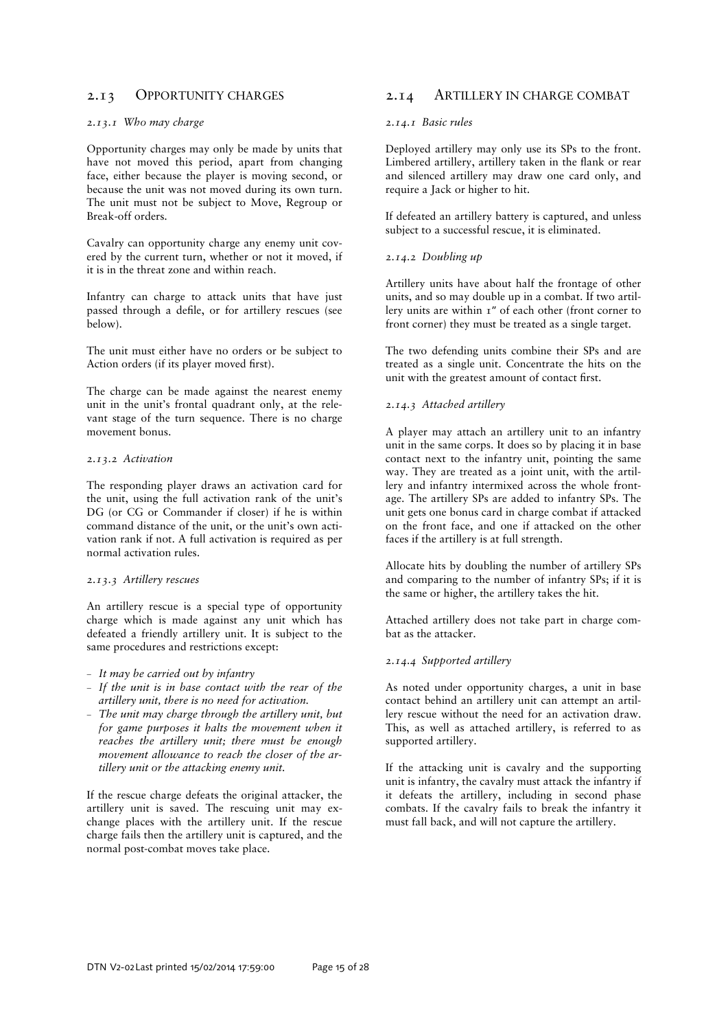# 2.13 OPPORTUNITY CHARGES

## *2.13.1 Who may charge*

Opportunity charges may only be made by units that have not moved this period, apart from changing face, either because the player is moving second, or because the unit was not moved during its own turn. The unit must not be subject to Move, Regroup or Break-off orders.

Cavalry can opportunity charge any enemy unit covered by the current turn, whether or not it moved, if it is in the threat zone and within reach.

Infantry can charge to attack units that have just passed through a defile, or for artillery rescues (see below).

The unit must either have no orders or be subject to Action orders (if its player moved first).

The charge can be made against the nearest enemy unit in the unit's frontal quadrant only, at the relevant stage of the turn sequence. There is no charge movement bonus.

### *2.13.2 Activation*

The responding player draws an activation card for the unit, using the full activation rank of the unit's DG (or CG or Commander if closer) if he is within command distance of the unit, or the unit's own activation rank if not. A full activation is required as per normal activation rules.

#### *2.13.3 Artillery rescues*

An artillery rescue is a special type of opportunity charge which is made against any unit which has defeated a friendly artillery unit. It is subject to the same procedures and restrictions except:

- *It may be carried out by infantry*
- *If the unit is in base contact with the rear of the artillery unit, there is no need for activation.*
- *The unit may charge through the artillery unit, but for game purposes it halts the movement when it reaches the artillery unit; there must be enough movement allowance to reach the closer of the artillery unit or the attacking enemy unit.*

If the rescue charge defeats the original attacker, the artillery unit is saved. The rescuing unit may exchange places with the artillery unit. If the rescue charge fails then the artillery unit is captured, and the normal post-combat moves take place.

# 2.14 ARTILLERY IN CHARGE COMBAT

#### *2.14.1 Basic rules*

Deployed artillery may only use its SPs to the front. Limbered artillery, artillery taken in the flank or rear and silenced artillery may draw one card only, and require a Jack or higher to hit.

If defeated an artillery battery is captured, and unless subject to a successful rescue, it is eliminated.

## *2.14.2 Doubling up*

Artillery units have about half the frontage of other units, and so may double up in a combat. If two artillery units are within 1″ of each other (front corner to front corner) they must be treated as a single target.

The two defending units combine their SPs and are treated as a single unit. Concentrate the hits on the unit with the greatest amount of contact first.

# *2.14.3 Attached artillery*

A player may attach an artillery unit to an infantry unit in the same corps. It does so by placing it in base contact next to the infantry unit, pointing the same way. They are treated as a joint unit, with the artillery and infantry intermixed across the whole frontage. The artillery SPs are added to infantry SPs. The unit gets one bonus card in charge combat if attacked on the front face, and one if attacked on the other faces if the artillery is at full strength.

Allocate hits by doubling the number of artillery SPs and comparing to the number of infantry SPs; if it is the same or higher, the artillery takes the hit.

Attached artillery does not take part in charge combat as the attacker.

#### *2.14.4 Supported artillery*

As noted under opportunity charges, a unit in base contact behind an artillery unit can attempt an artillery rescue without the need for an activation draw. This, as well as attached artillery, is referred to as supported artillery.

If the attacking unit is cavalry and the supporting unit is infantry, the cavalry must attack the infantry if it defeats the artillery, including in second phase combats. If the cavalry fails to break the infantry it must fall back, and will not capture the artillery.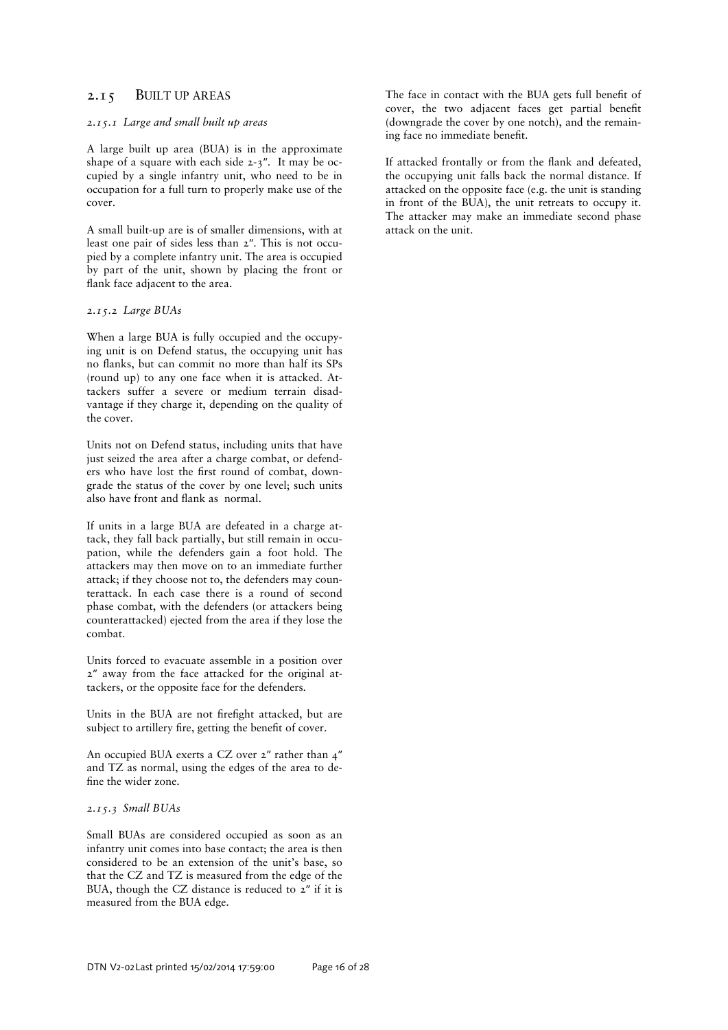# 2.15 BUILT UP AREAS

#### *2.15.1 Large and small built up areas*

A large built up area (BUA) is in the approximate shape of a square with each side 2-3″. It may be occupied by a single infantry unit, who need to be in occupation for a full turn to properly make use of the cover.

A small built-up are is of smaller dimensions, with at least one pair of sides less than 2″. This is not occupied by a complete infantry unit. The area is occupied by part of the unit, shown by placing the front or flank face adjacent to the area.

*2.15.2 Large BUAs* 

When a large BUA is fully occupied and the occupying unit is on Defend status, the occupying unit has no Kanks, but can commit no more than half its SPs (round up) to any one face when it is attacked. Attackers suffer a severe or medium terrain disadvantage if they charge it, depending on the quality of the cover.

Units not on Defend status, including units that have just seized the area after a charge combat, or defenders who have lost the first round of combat, downgrade the status of the cover by one level; such units also have front and flank as normal.

If units in a large BUA are defeated in a charge attack, they fall back partially, but still remain in occupation, while the defenders gain a foot hold. The attackers may then move on to an immediate further attack; if they choose not to, the defenders may counterattack. In each case there is a round of second phase combat, with the defenders (or attackers being counterattacked) ejected from the area if they lose the combat.

Units forced to evacuate assemble in a position over 2″ away from the face attacked for the original attackers, or the opposite face for the defenders.

Units in the BUA are not firefight attacked, but are subject to artillery fire, getting the benefit of cover.

An occupied BUA exerts a CZ over 2″ rather than 4″ and TZ as normal, using the edges of the area to define the wider zone.

# *2.15.3 Small BUAs*

Small BUAs are considered occupied as soon as an infantry unit comes into base contact; the area is then considered to be an extension of the unit's base, so that the CZ and TZ is measured from the edge of the BUA, though the CZ distance is reduced to 2″ if it is measured from the BUA edge.

The face in contact with the BUA gets full benefit of cover, the two adjacent faces get partial benefit (downgrade the cover by one notch), and the remaining face no immediate benefit.

If attacked frontally or from the flank and defeated, the occupying unit falls back the normal distance. If attacked on the opposite face (e.g. the unit is standing in front of the BUA), the unit retreats to occupy it. The attacker may make an immediate second phase attack on the unit.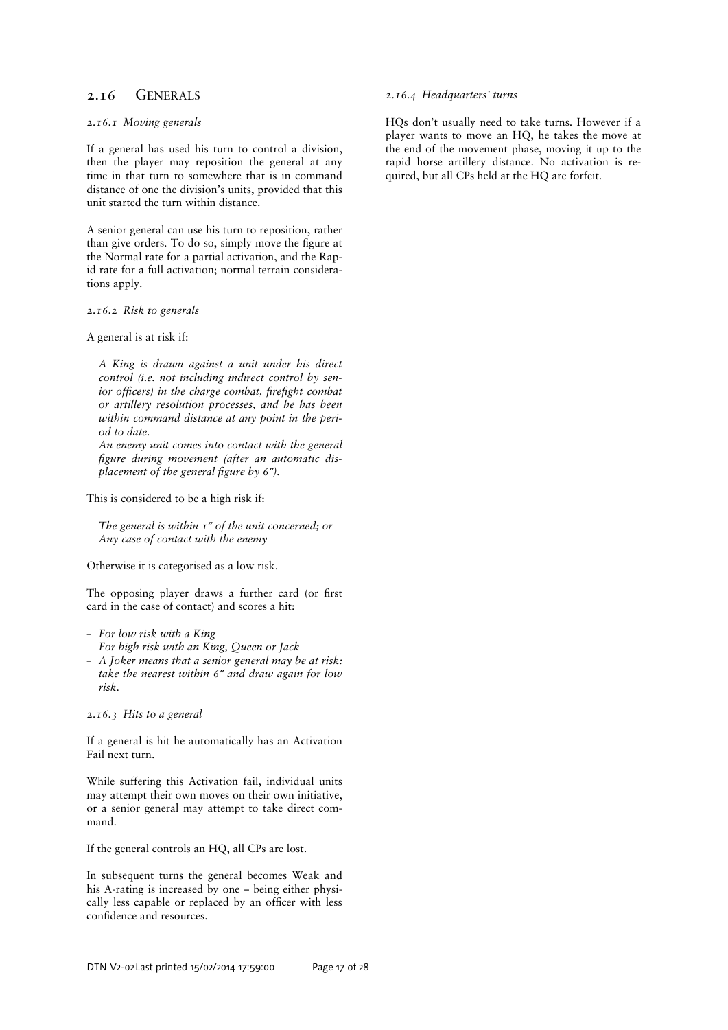# 2.16 GENERALS

#### *2.16.1 Moving generals*

If a general has used his turn to control a division, then the player may reposition the general at any time in that turn to somewhere that is in command distance of one the division's units, provided that this unit started the turn within distance.

A senior general can use his turn to reposition, rather than give orders. To do so, simply move the figure at the Normal rate for a partial activation, and the Rapid rate for a full activation; normal terrain considerations apply.

*2.16.2 Risk to generals* 

A general is at risk if:

- *A King is drawn against a unit under his direct control (i.e. not including indirect control by senior officers) in the charge combat, firefight combat or artillery resolution processes, and he has been within command distance at any point in the period to date.*
- *An enemy unit comes into contact with the general =gure during movement (after an automatic displacement of the general figure by 6<sup><i>″*</sup>).

This is considered to be a high risk if:

- *The general is within 1″ of the unit concerned; or*
- *Any case of contact with the enemy*

Otherwise it is categorised as a low risk.

The opposing player draws a further card (or first card in the case of contact) and scores a hit:

- *For low risk with a King*
- *For high risk with an King, Queen or Jack*
- *A Joker means that a senior general may be at risk: take the nearest within 6″ and draw again for low risk.*

*2.16.3 Hits to a general* 

If a general is hit he automatically has an Activation Fail next turn.

While suffering this Activation fail, individual units may attempt their own moves on their own initiative, or a senior general may attempt to take direct command.

If the general controls an HQ, all CPs are lost.

In subsequent turns the general becomes Weak and his A-rating is increased by one – being either physically less capable or replaced by an officer with less confidence and resources.

#### *2.16.4 Headquarters' turns*

HQs don't usually need to take turns. However if a player wants to move an HQ, he takes the move at the end of the movement phase, moving it up to the rapid horse artillery distance. No activation is required, but all CPs held at the HQ are forfeit.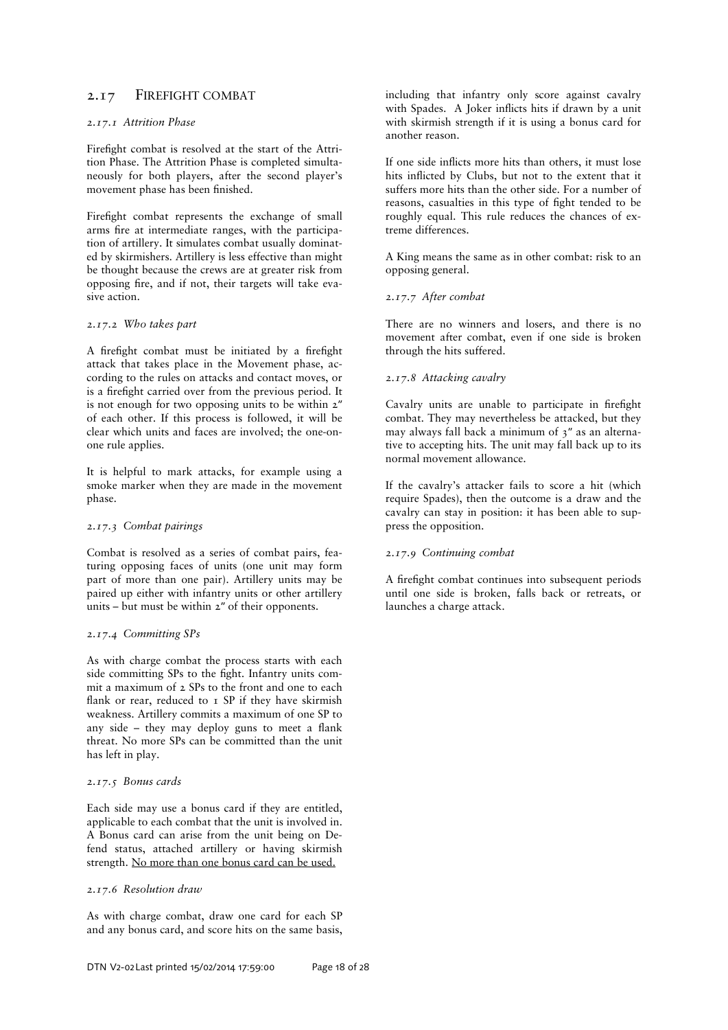# 2.17 FIREFIGHT COMBAT

## *2.17.1 Attrition Phase*

Firefight combat is resolved at the start of the Attrition Phase. The Attrition Phase is completed simultaneously for both players, after the second player's movement phase has been finished.

Firefight combat represents the exchange of small arms fire at intermediate ranges, with the participation of artillery. It simulates combat usually dominated by skirmishers. Artillery is less effective than might be thought because the crews are at greater risk from opposing fire, and if not, their targets will take evasive action.

## *2.17.2 Who takes part*

A firefight combat must be initiated by a firefight attack that takes place in the Movement phase, according to the rules on attacks and contact moves, or is a firefight carried over from the previous period. It is not enough for two opposing units to be within 2″ of each other. If this process is followed, it will be clear which units and faces are involved; the one-onone rule applies.

It is helpful to mark attacks, for example using a smoke marker when they are made in the movement phase.

#### *2.17.3 Combat pairings*

Combat is resolved as a series of combat pairs, featuring opposing faces of units (one unit may form part of more than one pair). Artillery units may be paired up either with infantry units or other artillery units – but must be within 2″ of their opponents.

#### *2.17.4 Committing SPs*

As with charge combat the process starts with each side committing SPs to the fight. Infantry units commit a maximum of 2 SPs to the front and one to each flank or rear, reduced to  $I$  SP if they have skirmish weakness. Artillery commits a maximum of one SP to any side  $-$  they may deploy guns to meet a flank threat. No more SPs can be committed than the unit has left in play.

# *2.17.5 Bonus cards*

Each side may use a bonus card if they are entitled, applicable to each combat that the unit is involved in. A Bonus card can arise from the unit being on Defend status, attached artillery or having skirmish strength. No more than one bonus card can be used.

# *2.17.6 Resolution draw*

As with charge combat, draw one card for each SP and any bonus card, and score hits on the same basis,

including that infantry only score against cavalry with Spades. A Joker inflicts hits if drawn by a unit with skirmish strength if it is using a bonus card for another reason.

If one side inflicts more hits than others, it must lose hits inflicted by Clubs, but not to the extent that it suffers more hits than the other side. For a number of reasons, casualties in this type of fight tended to be roughly equal. This rule reduces the chances of extreme differences.

A King means the same as in other combat: risk to an opposing general.

### *2.17.7 After combat*

There are no winners and losers, and there is no movement after combat, even if one side is broken through the hits suffered.

# *2.17.8 Attacking cavalry*

Cavalry units are unable to participate in firefight combat. They may nevertheless be attacked, but they may always fall back a minimum of 3″ as an alternative to accepting hits. The unit may fall back up to its normal movement allowance.

If the cavalry's attacker fails to score a hit (which require Spades), then the outcome is a draw and the cavalry can stay in position: it has been able to suppress the opposition.

# *2.17.9 Continuing combat*

A firefight combat continues into subsequent periods until one side is broken, falls back or retreats, or launches a charge attack.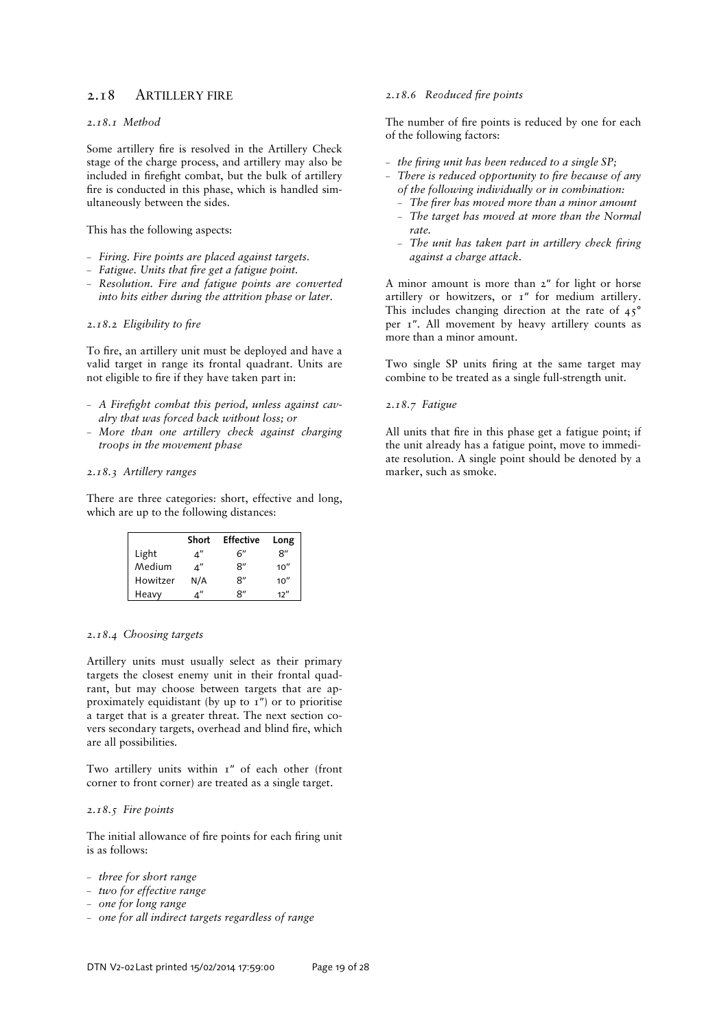# 2.18 ARTILLERY FIRE

# *2.18.1 Method*

Some artillery fire is resolved in the Artillery Check stage of the charge process, and artillery may also be included in firefight combat, but the bulk of artillery fire is conducted in this phase, which is handled simultaneously between the sides.

### This has the following aspects:

- *Firing. Fire points are placed against targets.*
- Fatigue. Units that fire get a fatigue point.
- *Resolution. Fire and fatigue points are converted into hits either during the attrition phase or later.*

### 2.18.2 *Eligibility to fire*

To fire, an artillery unit must be deployed and have a valid target in range its frontal quadrant. Units are not eligible to fire if they have taken part in:

- A Firefight combat this period, unless against cav*alry that was forced back without loss; or*
- *More than one artillery check against charging troops in the movement phase*

#### *2.18.3 Artillery ranges*

There are three categories: short, effective and long, which are up to the following distances:

|          | Short | <b>Effective</b> | Long |
|----------|-------|------------------|------|
| Light    |       | 6″               | 8"   |
| Medium   | 4″    | 8″               | 10'' |
| Howitzer | N/A   | 8″               | 10'' |
| Heavy    |       | R"               | 12'' |

### *2.18.4 Choosing targets*

Artillery units must usually select as their primary targets the closest enemy unit in their frontal quadrant, but may choose between targets that are approximately equidistant (by up to 1") or to prioritise a target that is a greater threat. The next section covers secondary targets, overhead and blind fire, which are all possibilities.

Two artillery units within 1" of each other (front corner to front corner) are treated as a single target.

# *2.18.5 Fire points*

The initial allowance of fire points for each firing unit is as follows:

- *three for short range*
- *two for effective range*
- *one for long range*
- *one for all indirect targets regardless of range*

#### 2.18.6 Reoduced fire points

The number of fire points is reduced by one for each of the following factors:

- *the firing unit has been reduced to a single SP*;
- *There is reduced opportunity to fire because of any of the following individually or in combination:* 
	- $-$  The firer has moved more than a minor amount
	- *The target has moved at more than the Normal rate.*
	- $-$  The unit has taken part in artillery check firing *against a charge attack.*

A minor amount is more than 2″ for light or horse artillery or howitzers, or  $I''$  for medium artillery. This includes changing direction at the rate of 45° per 1″. All movement by heavy artillery counts as more than a minor amount.

Two single SP units firing at the same target may combine to be treated as a single full-strength unit.

### *2.18.7 Fatigue*

All units that fire in this phase get a fatigue point; if the unit already has a fatigue point, move to immediate resolution. A single point should be denoted by a marker, such as smoke.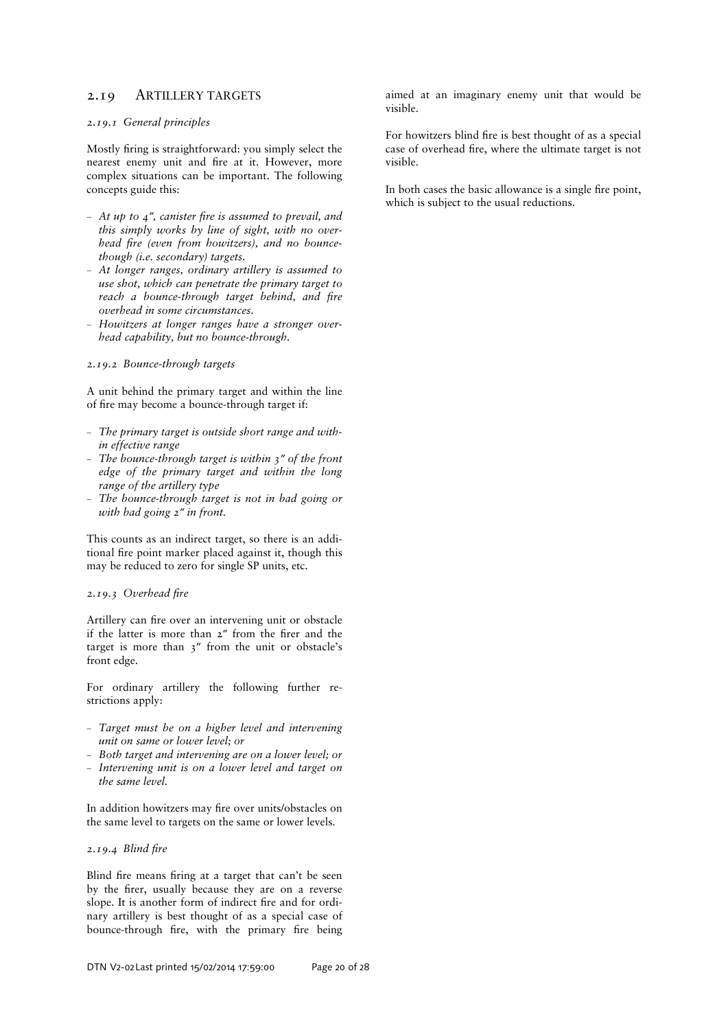# 2.19 ARTILLERY TARGETS

#### *2.19.1 General principles*

Mostly firing is straightforward: you simply select the nearest enemy unit and fire at it. However, more complex situations can be important. The following concepts guide this:

- $-$  *At up to 4<sup><i>n*</sup>, canister fire is assumed to prevail, and *this simply works by line of sight, with no overhead fire (even from howitzers), and no bouncethough (i.e. secondary) targets.*
- *At longer ranges, ordinary artillery is assumed to use shot, which can penetrate the primary target to reach a bounce-through target behind, and fire overhead in some circumstances.*
- *Howitzers at longer ranges have a stronger overhead capability, but no bounce-through.*

# *2.19.2 Bounce-through targets*

A unit behind the primary target and within the line of fire may become a bounce-through target if:

- *The primary target is outside short range and within effective range*
- *The bounce-through target is within 3″ of the front edge of the primary target and within the long range of the artillery type*
- *The bounce-through target is not in bad going or with bad going 2″ in front.*

This counts as an indirect target, so there is an additional fire point marker placed against it, though this may be reduced to zero for single SP units, etc.

### 2.19.3 Overhead fire

Artillery can fire over an intervening unit or obstacle if the latter is more than  $2''$  from the firer and the target is more than 3″ from the unit or obstacle's front edge.

For ordinary artillery the following further restrictions apply:

- *Target must be on a higher level and intervening unit on same or lower level; or*
- *Both target and intervening are on a lower level; or*
- *Intervening unit is on a lower level and target on the same level.*

In addition howitzers may fire over units/obstacles on the same level to targets on the same or lower levels.

## **2.19.4 Blind fire**

Blind fire means firing at a target that can't be seen by the firer, usually because they are on a reverse slope. It is another form of indirect fire and for ordinary artillery is best thought of as a special case of bounce-through fire, with the primary fire being aimed at an imaginary enemy unit that would be visible.

For howitzers blind fire is best thought of as a special case of overhead fire, where the ultimate target is not visible.

In both cases the basic allowance is a single fire point, which is subject to the usual reductions.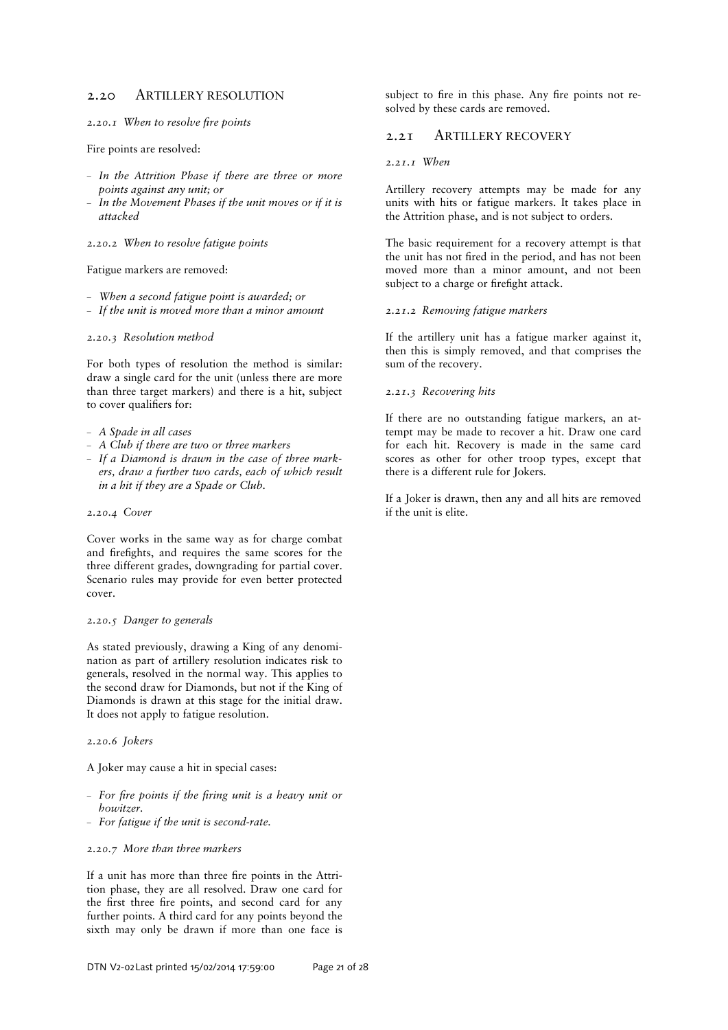# 2.20 ARTILLERY RESOLUTION

**2.20.1** When to resolve fire points

Fire points are resolved:

- *In the Attrition Phase if there are three or more points against any unit; or*
- *In the Movement Phases if the unit moves or if it is attacked*

*2.20.2 When to resolve fatigue points* 

Fatigue markers are removed:

- *When a second fatigue point is awarded; or*
- *If the unit is moved more than a minor amount*

#### *2.20.3 Resolution method*

For both types of resolution the method is similar: draw a single card for the unit (unless there are more than three target markers) and there is a hit, subject to cover qualifiers for:

- *A Spade in all cases*
- *A Club if there are two or three markers*
- *If a Diamond is drawn in the case of three markers, draw a further two cards, each of which result in a hit if they are a Spade or Club.*

#### *2.20.4 Cover*

Cover works in the same way as for charge combat and firefights, and requires the same scores for the three different grades, downgrading for partial cover. Scenario rules may provide for even better protected cover.

# *2.20.5 Danger to generals*

As stated previously, drawing a King of any denomination as part of artillery resolution indicates risk to generals, resolved in the normal way. This applies to the second draw for Diamonds, but not if the King of Diamonds is drawn at this stage for the initial draw. It does not apply to fatigue resolution.

### *2.20.6 Jokers*

A Joker may cause a hit in special cases:

- $-$  For fire points if the firing unit is a heavy unit or *howitzer.*
- *For fatigue if the unit is second-rate.*

#### *2.20.7 More than three markers*

If a unit has more than three fire points in the Attrition phase, they are all resolved. Draw one card for the first three fire points, and second card for any further points. A third card for any points beyond the sixth may only be drawn if more than one face is

subject to fire in this phase. Any fire points not resolved by these cards are removed.

# 2.21 ARTILLERY RECOVERY

#### *2.21.1 When*

Artillery recovery attempts may be made for any units with hits or fatigue markers. It takes place in the Attrition phase, and is not subject to orders.

The basic requirement for a recovery attempt is that the unit has not fired in the period, and has not been moved more than a minor amount, and not been subject to a charge or firefight attack.

#### *2.21.2 Removing fatigue markers*

If the artillery unit has a fatigue marker against it, then this is simply removed, and that comprises the sum of the recovery.

#### *2.21.3 Recovering hits*

If there are no outstanding fatigue markers, an attempt may be made to recover a hit. Draw one card for each hit. Recovery is made in the same card scores as other for other troop types, except that there is a different rule for Jokers.

If a Joker is drawn, then any and all hits are removed if the unit is elite.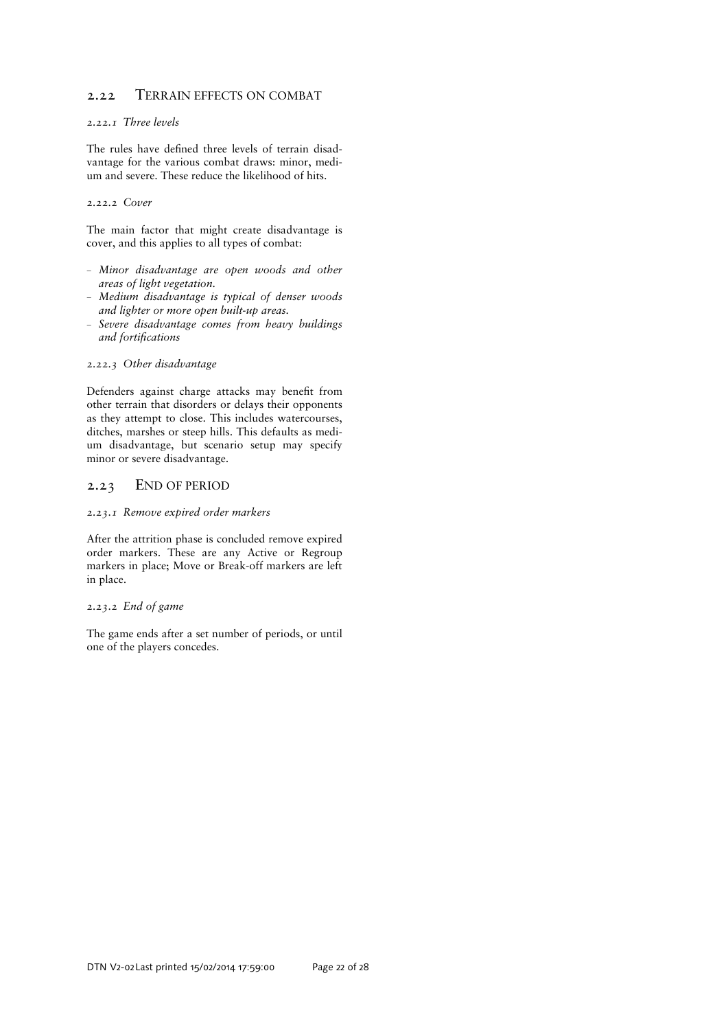# 2.22 TERRAIN EFFECTS ON COMBAT

# *2.22.1 Three levels*

The rules have defined three levels of terrain disadvantage for the various combat draws: minor, medium and severe. These reduce the likelihood of hits.

*2.22.2 Cover* 

The main factor that might create disadvantage is cover, and this applies to all types of combat:

- *Minor disadvantage are open woods and other areas of light vegetation.*
- *Medium disadvantage is typical of denser woods and lighter or more open built-up areas.*
- *Severe disadvantage comes from heavy buildings and fortifications*

### *2.22.3 Other disadvantage*

Defenders against charge attacks may benefit from other terrain that disorders or delays their opponents as they attempt to close. This includes watercourses, ditches, marshes or steep hills. This defaults as medium disadvantage, but scenario setup may specify minor or severe disadvantage.

# 2.23 END OF PERIOD

# *2.23.1 Remove expired order markers*

After the attrition phase is concluded remove expired order markers. These are any Active or Regroup markers in place; Move or Break-off markers are left in place.

# *2.23.2 End of game*

The game ends after a set number of periods, or until one of the players concedes.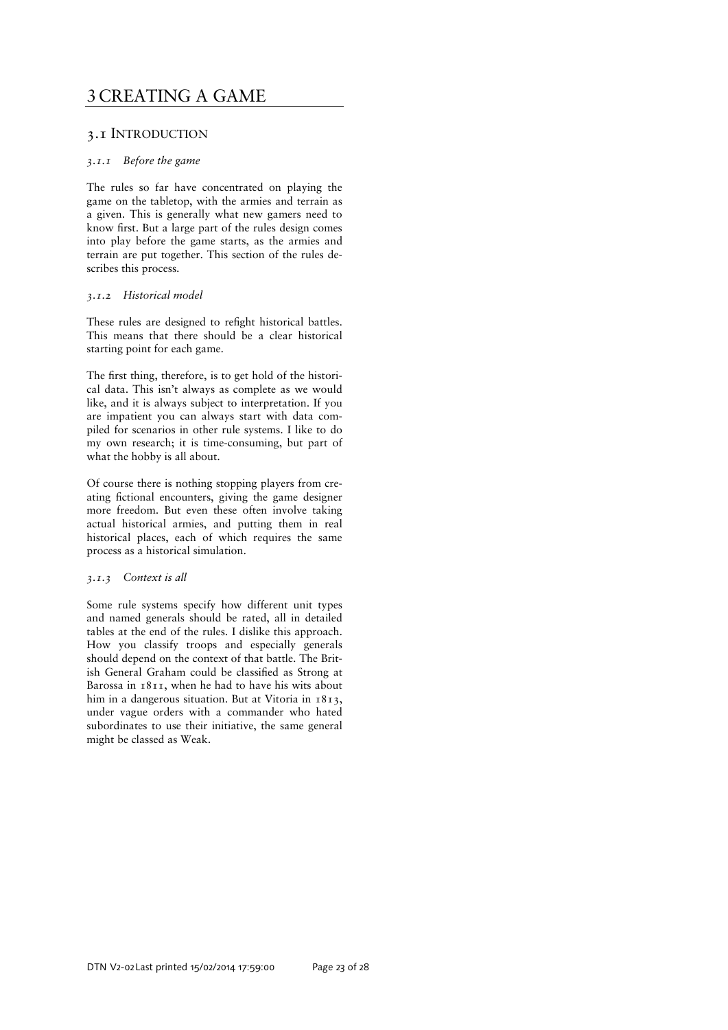# 3 CREATING A GAME

# 3.1 INTRODUCTION

# *3.1.1 Before the game*

The rules so far have concentrated on playing the game on the tabletop, with the armies and terrain as a given. This is generally what new gamers need to know first. But a large part of the rules design comes into play before the game starts, as the armies and terrain are put together. This section of the rules describes this process.

# *3.1.2 Historical model*

These rules are designed to refight historical battles. This means that there should be a clear historical starting point for each game.

The first thing, therefore, is to get hold of the historical data. This isn't always as complete as we would like, and it is always subject to interpretation. If you are impatient you can always start with data compiled for scenarios in other rule systems. I like to do my own research; it is time-consuming, but part of what the hobby is all about.

Of course there is nothing stopping players from creating fictional encounters, giving the game designer more freedom. But even these often involve taking actual historical armies, and putting them in real historical places, each of which requires the same process as a historical simulation.

# *3.1.3 Context is all*

Some rule systems specify how different unit types and named generals should be rated, all in detailed tables at the end of the rules. I dislike this approach. How you classify troops and especially generals should depend on the context of that battle. The British General Graham could be classified as Strong at Barossa in 1811, when he had to have his wits about him in a dangerous situation. But at Vitoria in 1813, under vague orders with a commander who hated subordinates to use their initiative, the same general might be classed as Weak.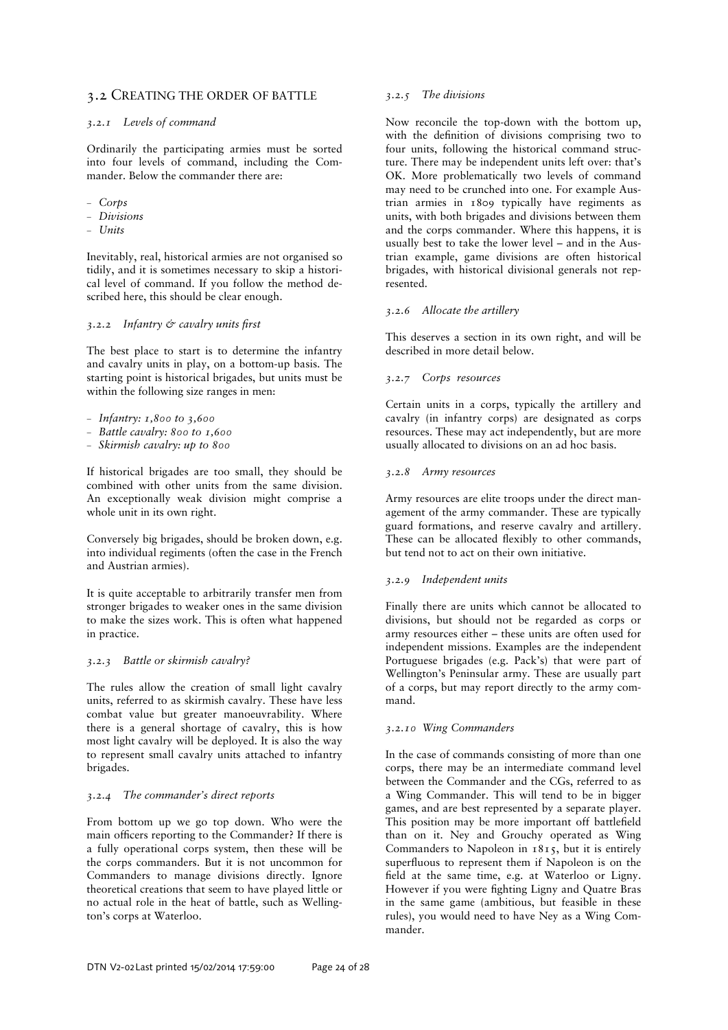# 3.2 CREATING THE ORDER OF BATTLE

# *3.2.1 Levels of command*

Ordinarily the participating armies must be sorted into four levels of command, including the Commander. Below the commander there are:

- *Corps*
- *Divisions*
- *Units*

Inevitably, real, historical armies are not organised so tidily, and it is sometimes necessary to skip a historical level of command. If you follow the method described here, this should be clear enough.

# *3.2.2 Infantry & cavalry units =rst*

The best place to start is to determine the infantry and cavalry units in play, on a bottom-up basis. The starting point is historical brigades, but units must be within the following size ranges in men:

- *Infantry: 1,800 to 3,600*
- *Battle cavalry: 800 to 1,600*
- *Skirmish cavalry: up to 800*

If historical brigades are too small, they should be combined with other units from the same division. An exceptionally weak division might comprise a whole unit in its own right.

Conversely big brigades, should be broken down, e.g. into individual regiments (often the case in the French and Austrian armies).

It is quite acceptable to arbitrarily transfer men from stronger brigades to weaker ones in the same division to make the sizes work. This is often what happened in practice.

# *3.2.3 Battle or skirmish cavalry?*

The rules allow the creation of small light cavalry units, referred to as skirmish cavalry. These have less combat value but greater manoeuvrability. Where there is a general shortage of cavalry, this is how most light cavalry will be deployed. It is also the way to represent small cavalry units attached to infantry brigades.

# *3.2.4 The commander's direct reports*

From bottom up we go top down. Who were the main officers reporting to the Commander? If there is a fully operational corps system, then these will be the corps commanders. But it is not uncommon for Commanders to manage divisions directly. Ignore theoretical creations that seem to have played little or no actual role in the heat of battle, such as Wellington's corps at Waterloo.

# *3.2.5 The divisions*

Now reconcile the top-down with the bottom up, with the definition of divisions comprising two to four units, following the historical command structure. There may be independent units left over: that's OK. More problematically two levels of command may need to be crunched into one. For example Austrian armies in 1809 typically have regiments as units, with both brigades and divisions between them and the corps commander. Where this happens, it is usually best to take the lower level – and in the Austrian example, game divisions are often historical brigades, with historical divisional generals not represented.

# *3.2.6 Allocate the artillery*

This deserves a section in its own right, and will be described in more detail below.

### *3.2.7 Corps resources*

Certain units in a corps, typically the artillery and cavalry (in infantry corps) are designated as corps resources. These may act independently, but are more usually allocated to divisions on an ad hoc basis.

### *3.2.8 Army resources*

Army resources are elite troops under the direct management of the army commander. These are typically guard formations, and reserve cavalry and artillery. These can be allocated flexibly to other commands, but tend not to act on their own initiative.

# *3.2.9 Independent units*

Finally there are units which cannot be allocated to divisions, but should not be regarded as corps or army resources either – these units are often used for independent missions. Examples are the independent Portuguese brigades (e.g. Pack's) that were part of Wellington's Peninsular army. These are usually part of a corps, but may report directly to the army command.

#### *3.2.10 Wing Commanders*

In the case of commands consisting of more than one corps, there may be an intermediate command level between the Commander and the CGs, referred to as a Wing Commander. This will tend to be in bigger games, and are best represented by a separate player. This position may be more important off battlefield than on it. Ney and Grouchy operated as Wing Commanders to Napoleon in 1815, but it is entirely superfluous to represent them if Napoleon is on the field at the same time, e.g. at Waterloo or Ligny. However if you were fighting Ligny and Quatre Bras in the same game (ambitious, but feasible in these rules), you would need to have Ney as a Wing Commander.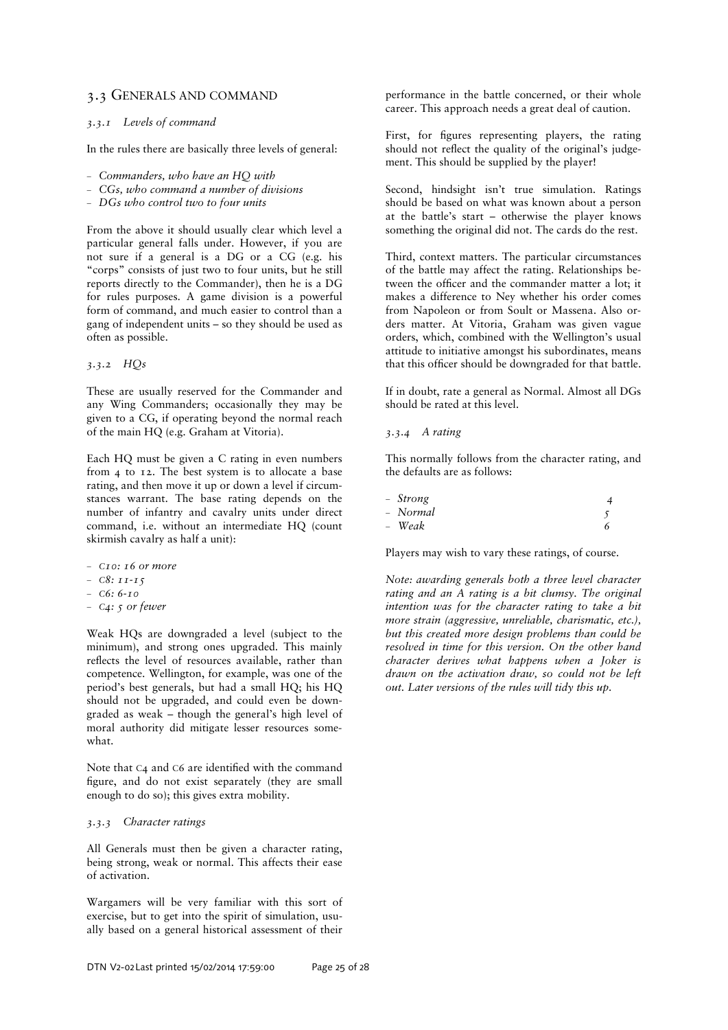# 3.3 GENERALS AND COMMAND

#### *3.3.1 Levels of command*

In the rules there are basically three levels of general:

- *Commanders, who have an HQ with*
- *CGs, who command a number of divisions*
- *DGs who control two to four units*

From the above it should usually clear which level a particular general falls under. However, if you are not sure if a general is a DG or a CG (e.g. his "corps" consists of just two to four units, but he still reports directly to the Commander), then he is a DG for rules purposes. A game division is a powerful form of command, and much easier to control than a gang of independent units – so they should be used as often as possible.

*3.3.2 HQs* 

These are usually reserved for the Commander and any Wing Commanders; occasionally they may be given to a CG, if operating beyond the normal reach of the main HQ (e.g. Graham at Vitoria).

Each HQ must be given a C rating in even numbers from 4 to 12. The best system is to allocate a base rating, and then move it up or down a level if circumstances warrant. The base rating depends on the number of infantry and cavalry units under direct command, i.e. without an intermediate HQ (count skirmish cavalry as half a unit):

- *<sup>C</sup>10: 16 or more*
- *<sup>C</sup>8: 11-15*
- *<sup>C</sup>6: 6-10*
- *<sup>C</sup>4: 5 or fewer*

Weak HQs are downgraded a level (subject to the minimum), and strong ones upgraded. This mainly reflects the level of resources available, rather than competence. Wellington, for example, was one of the period's best generals, but had a small HQ; his HQ should not be upgraded, and could even be downgraded as weak – though the general's high level of moral authority did mitigate lesser resources somewhat.

Note that C<sub>4</sub> and C<sub>6</sub> are identified with the command figure, and do not exist separately (they are small enough to do so); this gives extra mobility.

# *3.3.3 Character ratings*

All Generals must then be given a character rating, being strong, weak or normal. This affects their ease of activation.

Wargamers will be very familiar with this sort of exercise, but to get into the spirit of simulation, usually based on a general historical assessment of their

performance in the battle concerned, or their whole career. This approach needs a great deal of caution.

First, for figures representing players, the rating should not reflect the quality of the original's judgement. This should be supplied by the player!

Second, hindsight isn't true simulation. Ratings should be based on what was known about a person at the battle's start – otherwise the player knows something the original did not. The cards do the rest.

Third, context matters. The particular circumstances of the battle may affect the rating. Relationships between the officer and the commander matter a lot; it makes a difference to Ney whether his order comes from Napoleon or from Soult or Massena. Also orders matter. At Vitoria, Graham was given vague orders, which, combined with the Wellington's usual attitude to initiative amongst his subordinates, means that this officer should be downgraded for that battle.

If in doubt, rate a general as Normal. Almost all DGs should be rated at this level.

### *3.3.4 A rating*

This normally follows from the character rating, and the defaults are as follows:

| - Strong |  |
|----------|--|
| - Normal |  |
| - Weak   |  |

Players may wish to vary these ratings, of course.

*Note: awarding generals both a three level character rating and an A rating is a bit clumsy. The original intention was for the character rating to take a bit more strain (aggressive, unreliable, charismatic, etc.), but this created more design problems than could be resolved in time for this version. On the other hand character derives what happens when a Joker is drawn on the activation draw, so could not be left out. Later versions of the rules will tidy this up.*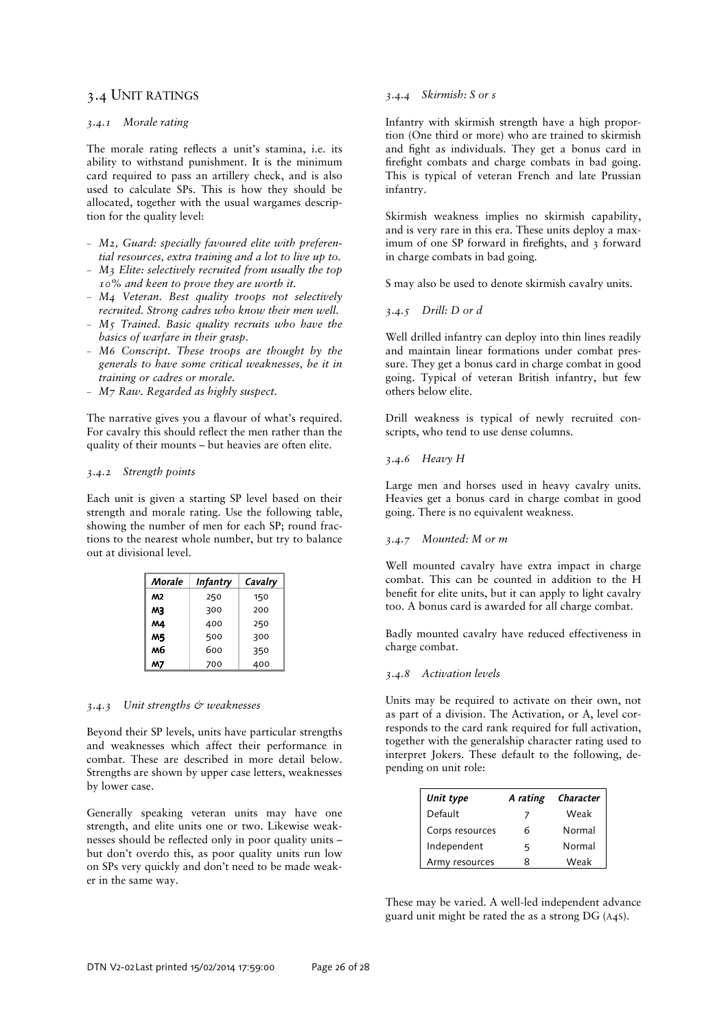# 3.4 UNIT RATINGS

# *3.4.1 Morale rating*

The morale rating reflects a unit's stamina, i.e. its ability to withstand punishment. It is the minimum card required to pass an artillery check, and is also used to calculate SPs. This is how they should be allocated, together with the usual wargames description for the quality level:

- *M2, Guard: specially favoured elite with preferential resources, extra training and a lot to live up to.*
- *M3 Elite: selectively recruited from usually the top 10% and keen to prove they are worth it.*
- *M4 Veteran. Best quality troops not selectively recruited. Strong cadres who know their men well.*
- *M5 Trained. Basic quality recruits who have the basics of warfare in their grasp.*
- *M6 Conscript. These troops are thought by the generals to have some critical weaknesses, be it in training or cadres or morale.*
- *M7 Raw. Regarded as highly suspect.*

The narrative gives you a flavour of what's required. For cavalry this should reflect the men rather than the quality of their mounts – but heavies are often elite.

## *3.4.2 Strength points*

Each unit is given a starting SP level based on their strength and morale rating. Use the following table, showing the number of men for each SP; round fractions to the nearest whole number, but try to balance out at divisional level.

| Morale | <b>Infantry</b> | Cavalry |
|--------|-----------------|---------|
| M2     | 250             | 150     |
| MЗ     | 300             | 200     |
| Μ4     | 400             | 250     |
| M5     | 500             | 300     |
| м6     | 600             | 350     |
| М7     | 700             | 400     |

#### *3.4.3 Unit strengths & weaknesses*

Beyond their SP levels, units have particular strengths and weaknesses which affect their performance in combat. These are described in more detail below. Strengths are shown by upper case letters, weaknesses by lower case.

Generally speaking veteran units may have one strength, and elite units one or two. Likewise weaknesses should be reflected only in poor quality units but don't overdo this, as poor quality units run low on SPs very quickly and don't need to be made weaker in the same way.

#### *3.4.4 Skirmish: S or s*

Infantry with skirmish strength have a high proportion (One third or more) who are trained to skirmish and fight as individuals. They get a bonus card in firefight combats and charge combats in bad going. This is typical of veteran French and late Prussian infantry.

Skirmish weakness implies no skirmish capability, and is very rare in this era. These units deploy a maximum of one SP forward in firefights, and 3 forward in charge combats in bad going.

S may also be used to denote skirmish cavalry units.

# *3.4.5 Drill: D or d*

Well drilled infantry can deploy into thin lines readily and maintain linear formations under combat pressure. They get a bonus card in charge combat in good going. Typical of veteran British infantry, but few others below elite.

Drill weakness is typical of newly recruited conscripts, who tend to use dense columns.

#### *3.4.6 Heavy H*

Large men and horses used in heavy cavalry units. Heavies get a bonus card in charge combat in good going. There is no equivalent weakness.

#### *3.4.7 Mounted: M or m*

Well mounted cavalry have extra impact in charge combat. This can be counted in addition to the H benefit for elite units, but it can apply to light cavalry too. A bonus card is awarded for all charge combat.

Badly mounted cavalry have reduced effectiveness in charge combat.

# *3.4.8 Activation levels*

Units may be required to activate on their own, not as part of a division. The Activation, or A, level corresponds to the card rank required for full activation, together with the generalship character rating used to interpret Jokers. These default to the following, depending on unit role:

| Unit type       | A rating | Character |
|-----------------|----------|-----------|
| Default         |          | Weak      |
| Corps resources | ĥ        | Normal    |
| Independent     | 5        | Normal    |
| Army resources  | R        | Weak      |

These may be varied. A well-led independent advance guard unit might be rated the as a strong DG (A4S).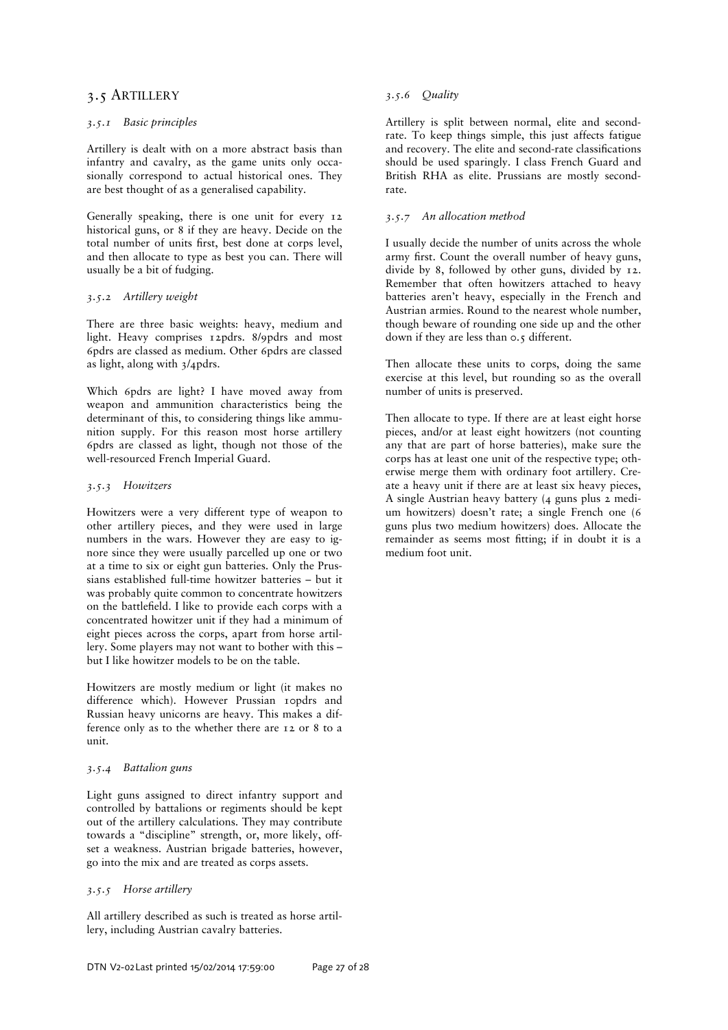# 3.5 ARTILLERY

# *3.5.1 Basic principles*

Artillery is dealt with on a more abstract basis than infantry and cavalry, as the game units only occasionally correspond to actual historical ones. They are best thought of as a generalised capability.

Generally speaking, there is one unit for every 12 historical guns, or 8 if they are heavy. Decide on the total number of units first, best done at corps level, and then allocate to type as best you can. There will usually be a bit of fudging.

# *3.5.2 Artillery weight*

There are three basic weights: heavy, medium and light. Heavy comprises 12pdrs. 8/9pdrs and most 6pdrs are classed as medium. Other 6pdrs are classed as light, along with 3/4pdrs.

Which 6pdrs are light? I have moved away from weapon and ammunition characteristics being the determinant of this, to considering things like ammunition supply. For this reason most horse artillery 6pdrs are classed as light, though not those of the well-resourced French Imperial Guard.

# *3.5.3 Howitzers*

Howitzers were a very different type of weapon to other artillery pieces, and they were used in large numbers in the wars. However they are easy to ignore since they were usually parcelled up one or two at a time to six or eight gun batteries. Only the Prussians established full-time howitzer batteries – but it was probably quite common to concentrate howitzers on the battlefield. I like to provide each corps with a concentrated howitzer unit if they had a minimum of eight pieces across the corps, apart from horse artillery. Some players may not want to bother with this – but I like howitzer models to be on the table.

Howitzers are mostly medium or light (it makes no difference which). However Prussian 10pdrs and Russian heavy unicorns are heavy. This makes a difference only as to the whether there are 12 or 8 to a unit.

# *3.5.4 Battalion guns*

Light guns assigned to direct infantry support and controlled by battalions or regiments should be kept out of the artillery calculations. They may contribute towards a "discipline" strength, or, more likely, offset a weakness. Austrian brigade batteries, however, go into the mix and are treated as corps assets.

# *3.5.5 Horse artillery*

All artillery described as such is treated as horse artillery, including Austrian cavalry batteries.

# *3.5.6 Quality*

Artillery is split between normal, elite and secondrate. To keep things simple, this just affects fatigue and recovery. The elite and second-rate classifications should be used sparingly. I class French Guard and British RHA as elite. Prussians are mostly secondrate.

# *3.5.7 An allocation method*

I usually decide the number of units across the whole army first. Count the overall number of heavy guns, divide by 8, followed by other guns, divided by 12. Remember that often howitzers attached to heavy batteries aren't heavy, especially in the French and Austrian armies. Round to the nearest whole number, though beware of rounding one side up and the other down if they are less than 0.5 different.

Then allocate these units to corps, doing the same exercise at this level, but rounding so as the overall number of units is preserved.

Then allocate to type. If there are at least eight horse pieces, and/or at least eight howitzers (not counting any that are part of horse batteries), make sure the corps has at least one unit of the respective type; otherwise merge them with ordinary foot artillery. Create a heavy unit if there are at least six heavy pieces, A single Austrian heavy battery (4 guns plus 2 medium howitzers) doesn't rate; a single French one (6 guns plus two medium howitzers) does. Allocate the remainder as seems most fitting; if in doubt it is a medium foot unit.